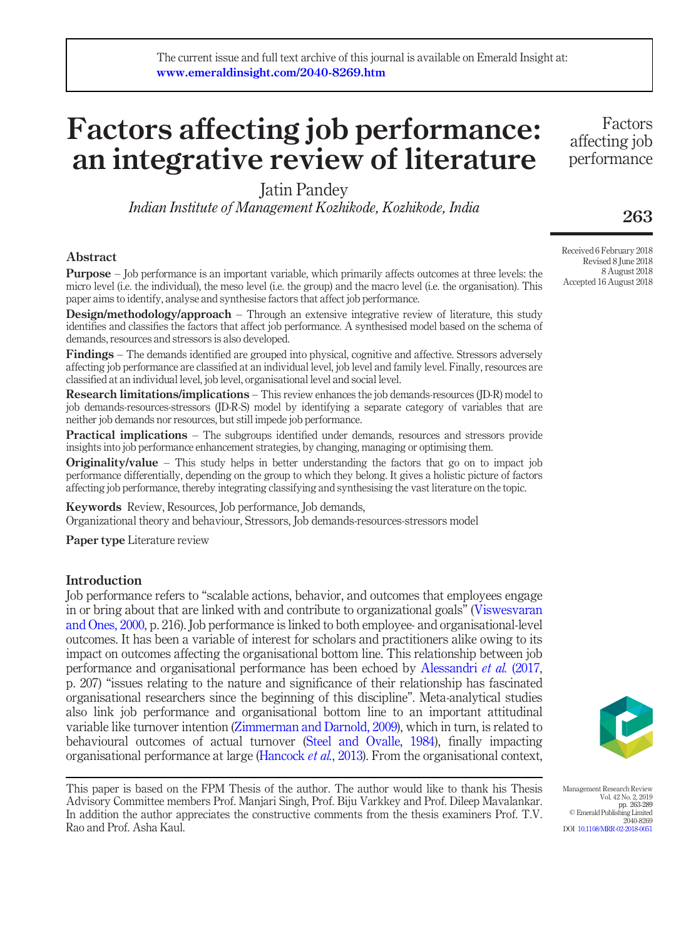# Factors affecting job performance: an integrative review of literature

Jatin Pandey

Indian Institute of Management Kozhikode, Kozhikode, India

# Abstract

**Purpose** – Job performance is an important variable, which primarily affects outcomes at three levels: the micro level (i.e. the individual), the meso level (i.e. the group) and the macro level (i.e. the organisation). This paper aims to identify, analyse and synthesise factors that affect job performance.

**Design/methodology/approach** – Through an extensive integrative review of literature, this study identifies and classifies the factors that affect job performance. A synthesised model based on the schema of demands, resources and stressors is also developed.

Findings – The demands identified are grouped into physical, cognitive and affective. Stressors adversely affecting job performance are classified at an individual level, job level and family level. Finally, resources are classified at an individual level, job level, organisational level and social level.

Research limitations/implications – This review enhances the job demands-resources (JD-R) model to job demands-resources-stressors (JD-R-S) model by identifying a separate category of variables that are neither job demands nor resources, but still impede job performance.

**Practical implications** – The subgroups identified under demands, resources and stressors provide insights into job performance enhancement strategies, by changing, managing or optimising them.

**Originality/value** – This study helps in better understanding the factors that go on to impact job performance differentially, depending on the group to which they belong. It gives a holistic picture of factors affecting job performance, thereby integrating classifying and synthesising the vast literature on the topic.

Keywords Review, Resources, Job performance, Job demands,

Organizational theory and behaviour, Stressors, Job demands-resources-stressors model

Paper type Literature review

# Introduction

Job performance refers to "scalable actions, behavior, and outcomes that employees engage in or bring about that are linked with and contribute to organizational goals" (Viswesvaran and Ones, 2000, p. 216). Job performance is linked to both employee- and organisational-level outcomes. It has been a variable of interest for scholars and practitioners alike owing to its impact on outcomes affecting the organisational bottom line. This relationship between job performance and organisational performance has been echoed by Alessandri et al. (2017, p. 207) "issues relating to the nature and significance of their relationship has fascinated organisational researchers since the beginning of this discipline". Meta-analytical studies also link job performance and organisational bottom line to an important attitudinal variable like turnover intention (Zimmerman and Darnold, 2009), which in turn, is related to behavioural outcomes of actual turnover (Steel and Ovalle, 1984), finally impacting organisational performance at large (Hancock *et al.*, 2013). From the organisational context,



2040-8269

Management Research Review Vol. 42 No. 2, 2019 pp. 263-289 © Emerald Publishing Limited

DOI 10.1108/MRR-02-2018-0051

This paper is based on the FPM Thesis of the author. The author would like to thank his Thesis Advisory Committee members Prof. Manjari Singh, Prof. Biju Varkkey and Prof. Dileep Mavalankar. In addition the author appreciates the constructive comments from the thesis examiners Prof. T.V. Rao and Prof. Asha Kaul.

Factors affecting job performance

263

Received 6 February 2018 Revised 8 June 2018 8 August 2018 Accepted 16 August 2018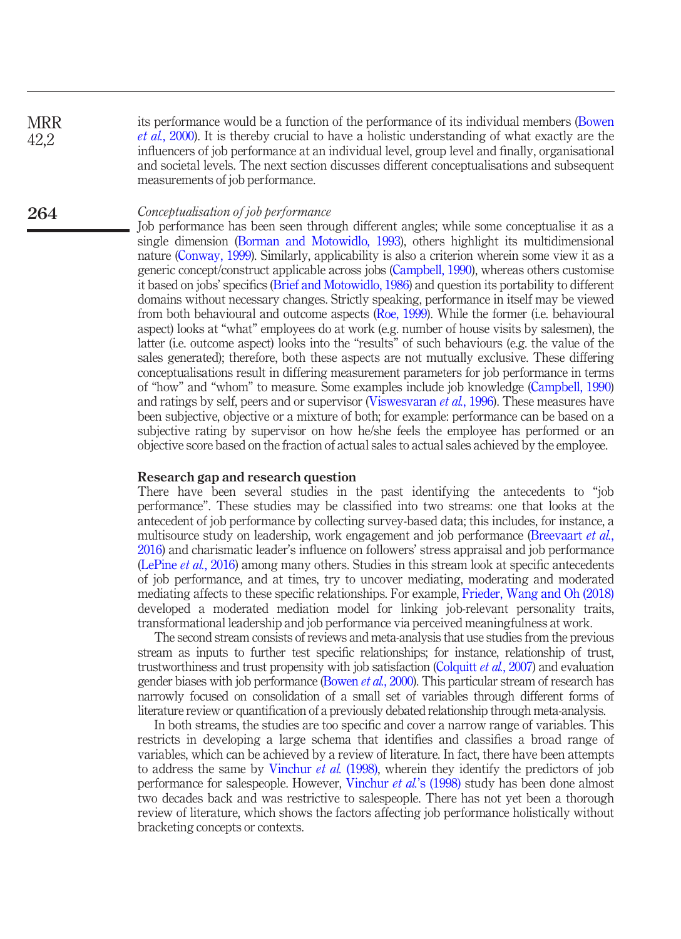its performance would be a function of the performance of its individual members (Bowen et al., 2000). It is thereby crucial to have a holistic understanding of what exactly are the influencers of job performance at an individual level, group level and finally, organisational and societal levels. The next section discusses different conceptualisations and subsequent measurements of job performance. **MRR** 42,2

#### Conceptualisation of job performance 264

Job performance has been seen through different angles; while some conceptualise it as a single dimension (Borman and Motowidlo, 1993), others highlight its multidimensional nature (Conway, 1999). Similarly, applicability is also a criterion wherein some view it as a generic concept/construct applicable across jobs (Campbell, 1990), whereas others customise it based on jobs' specifics (Brief and Motowidlo, 1986) and question its portability to different domains without necessary changes. Strictly speaking, performance in itself may be viewed from both behavioural and outcome aspects (Roe, 1999). While the former (i.e. behavioural aspect) looks at "what" employees do at work (e.g. number of house visits by salesmen), the latter (i.e. outcome aspect) looks into the "results" of such behaviours (e.g. the value of the sales generated); therefore, both these aspects are not mutually exclusive. These differing conceptualisations result in differing measurement parameters for job performance in terms of "how" and "whom" to measure. Some examples include job knowledge (Campbell, 1990) and ratings by self, peers and or supervisor (Viswesvaran et al., 1996). These measures have been subjective, objective or a mixture of both; for example: performance can be based on a subjective rating by supervisor on how he/she feels the employee has performed or an objective score based on the fraction of actual sales to actual sales achieved by the employee.

#### Research gap and research question

There have been several studies in the past identifying the antecedents to "job performance". These studies may be classified into two streams: one that looks at the antecedent of job performance by collecting survey-based data; this includes, for instance, a multisource study on leadership, work engagement and job performance (Breevaart *et al.*, 2016) and charismatic leader's influence on followers' stress appraisal and job performance (LePine et al., 2016) among many others. Studies in this stream look at specific antecedents of job performance, and at times, try to uncover mediating, moderating and moderated mediating affects to these specific relationships. For example, Frieder, Wang and Oh (2018) developed a moderated mediation model for linking job-relevant personality traits, transformational leadership and job performance via perceived meaningfulness at work.

The second stream consists of reviews and meta-analysis that use studies from the previous stream as inputs to further test specific relationships; for instance, relationship of trust, trustworthiness and trust propensity with job satisfaction (Colquitt et al., 2007) and evaluation gender biases with job performance (Bowen *et al.*, 2000). This particular stream of research has narrowly focused on consolidation of a small set of variables through different forms of literature review or quantification of a previously debated relationship through meta-analysis.

In both streams, the studies are too specific and cover a narrow range of variables. This restricts in developing a large schema that identifies and classifies a broad range of variables, which can be achieved by a review of literature. In fact, there have been attempts to address the same by Vinchur *et al.* (1998), wherein they identify the predictors of job performance for salespeople. However, Vinchur et al.'s (1998) study has been done almost two decades back and was restrictive to salespeople. There has not yet been a thorough review of literature, which shows the factors affecting job performance holistically without bracketing concepts or contexts.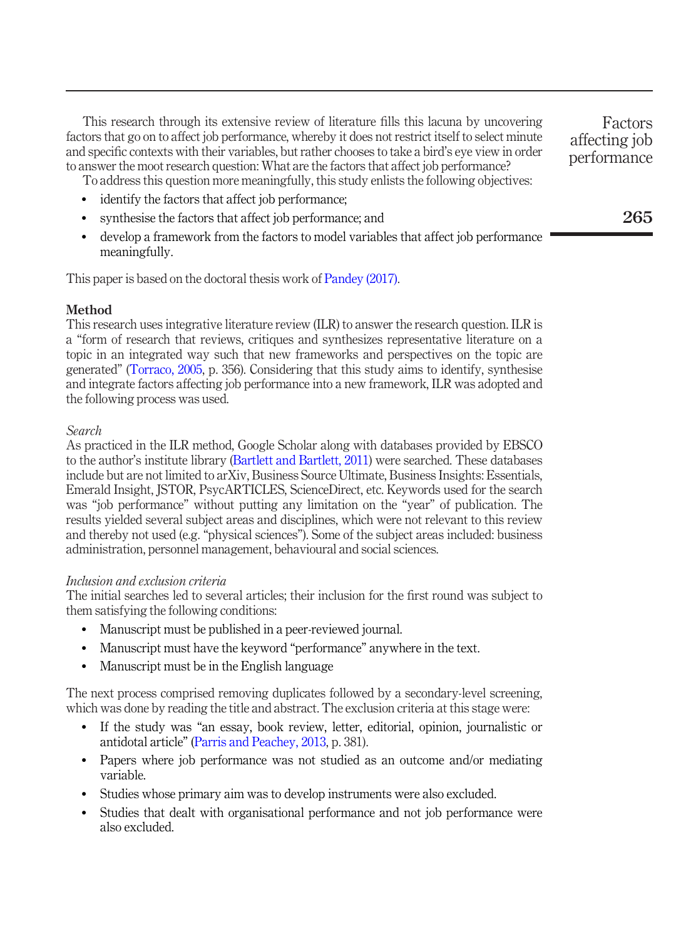This research through its extensive review of literature fills this lacuna by uncovering factors that go on to affect job performance, whereby it does not restrict itself to select minute and specific contexts with their variables, but rather chooses to take a bird's eye view in order to answer the moot research question: What are the factors that affect job performance?

To address this question more meaningfully, this study enlists the following objectives:

- identify the factors that affect job performance;
- synthesise the factors that affect job performance; and
- develop a framework from the factors to model variables that affect job performance meaningfully.

This paper is based on the doctoral thesis work of Pandey (2017).

# Method

This research uses integrative literature review (ILR) to answer the research question. ILR is a "form of research that reviews, critiques and synthesizes representative literature on a topic in an integrated way such that new frameworks and perspectives on the topic are generated" (Torraco, 2005, p. 356). Considering that this study aims to identify, synthesise and integrate factors affecting job performance into a new framework, ILR was adopted and the following process was used.

# Search

As practiced in the ILR method, Google Scholar along with databases provided by EBSCO to the author's institute library (Bartlett and Bartlett, 2011) were searched. These databases include but are not limited to arXiv, Business Source Ultimate, Business Insights: Essentials, Emerald Insight, JSTOR, PsycARTICLES, ScienceDirect, etc. Keywords used for the search was "job performance" without putting any limitation on the "year" of publication. The results yielded several subject areas and disciplines, which were not relevant to this review and thereby not used (e.g. "physical sciences"). Some of the subject areas included: business administration, personnel management, behavioural and social sciences.

# Inclusion and exclusion criteria

The initial searches led to several articles; their inclusion for the first round was subject to them satisfying the following conditions:

- Manuscript must be published in a peer-reviewed journal.
- Manuscript must have the keyword "performance" anywhere in the text.
- Manuscript must be in the English language

The next process comprised removing duplicates followed by a secondary-level screening, which was done by reading the title and abstract. The exclusion criteria at this stage were:

- If the study was "an essay, book review, letter, editorial, opinion, journalistic or antidotal article" (Parris and Peachey, 2013, p. 381).
- Papers where job performance was not studied as an outcome and/or mediating variable.
- Studies whose primary aim was to develop instruments were also excluded.
- Studies that dealt with organisational performance and not job performance were also excluded.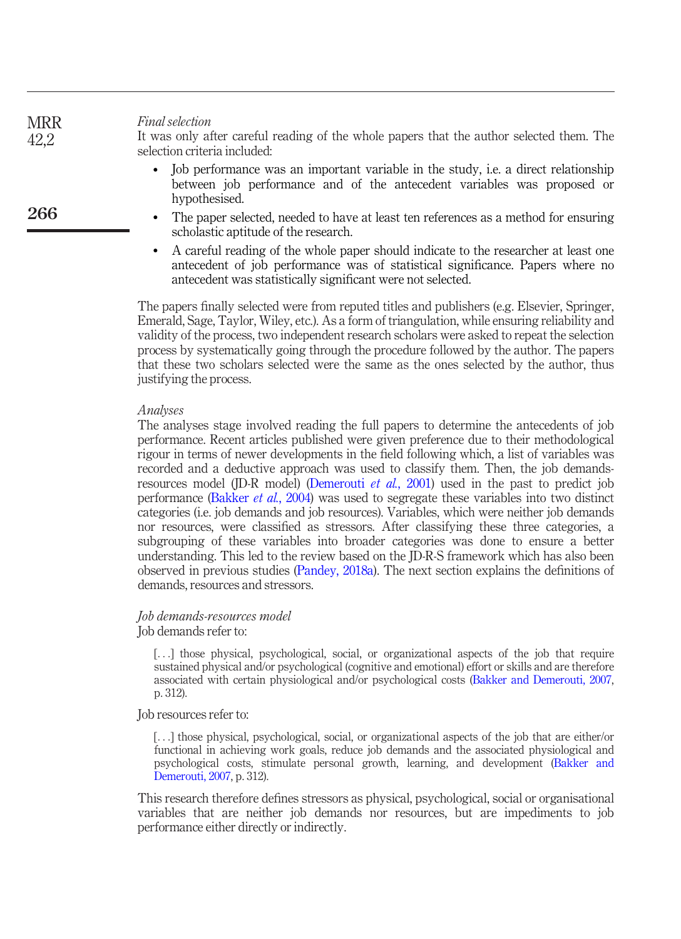| <b>MRR</b><br>42,2 | Final selection<br>It was only after careful reading of the whole papers that the author selected them. The<br>selection criteria included:                                                                                            |
|--------------------|----------------------------------------------------------------------------------------------------------------------------------------------------------------------------------------------------------------------------------------|
| 266                | • Job performance was an important variable in the study, i.e. a direct relationship<br>between job performance and of the antecedent variables was proposed or<br>hypothesised.                                                       |
|                    | • The paper selected, needed to have at least ten references as a method for ensuring<br>scholastic aptitude of the research.                                                                                                          |
|                    | • A careful reading of the whole paper should indicate to the researcher at least one<br>antecedent of job performance was of statistical significance. Papers where no<br>antecedent was statistically significant were not selected. |
|                    | The papers finally selected were from reputed titles and publishers (e.g. Elsevier, Springer,<br>Emerald, Sage, Taylor, Wiley, etc.). As a form of triangulation, while ensuring reliability and                                       |

Emerald, Sage, Taylor, Wiley, etc.). As a form of triangulation, while ensuring reliability and validity of the process, two independent research scholars were asked to repeat the selection process by systematically going through the procedure followed by the author. The papers that these two scholars selected were the same as the ones selected by the author, thus justifying the process.

## Analyses

The analyses stage involved reading the full papers to determine the antecedents of job performance. Recent articles published were given preference due to their methodological rigour in terms of newer developments in the field following which, a list of variables was recorded and a deductive approach was used to classify them. Then, the job demandsresources model (JD-R model) (Demerouti *et al.*, 2001) used in the past to predict job performance (Bakker et al., 2004) was used to segregate these variables into two distinct categories (i.e. job demands and job resources). Variables, which were neither job demands nor resources, were classified as stressors. After classifying these three categories, a subgrouping of these variables into broader categories was done to ensure a better understanding. This led to the review based on the JD-R-S framework which has also been observed in previous studies (Pandey, 2018a). The next section explains the definitions of demands, resources and stressors.

# Job demands-resources model

Job demands refer to:

[...] those physical, psychological, social, or organizational aspects of the job that require sustained physical and/or psychological (cognitive and emotional) effort or skills and are therefore associated with certain physiological and/or psychological costs (Bakker and Demerouti, 2007, p. 312).

Job resources refer to:

[...] those physical, psychological, social, or organizational aspects of the job that are either/or functional in achieving work goals, reduce job demands and the associated physiological and psychological costs, stimulate personal growth, learning, and development (Bakker and Demerouti, 2007, p. 312).

This research therefore defines stressors as physical, psychological, social or organisational variables that are neither job demands nor resources, but are impediments to job performance either directly or indirectly.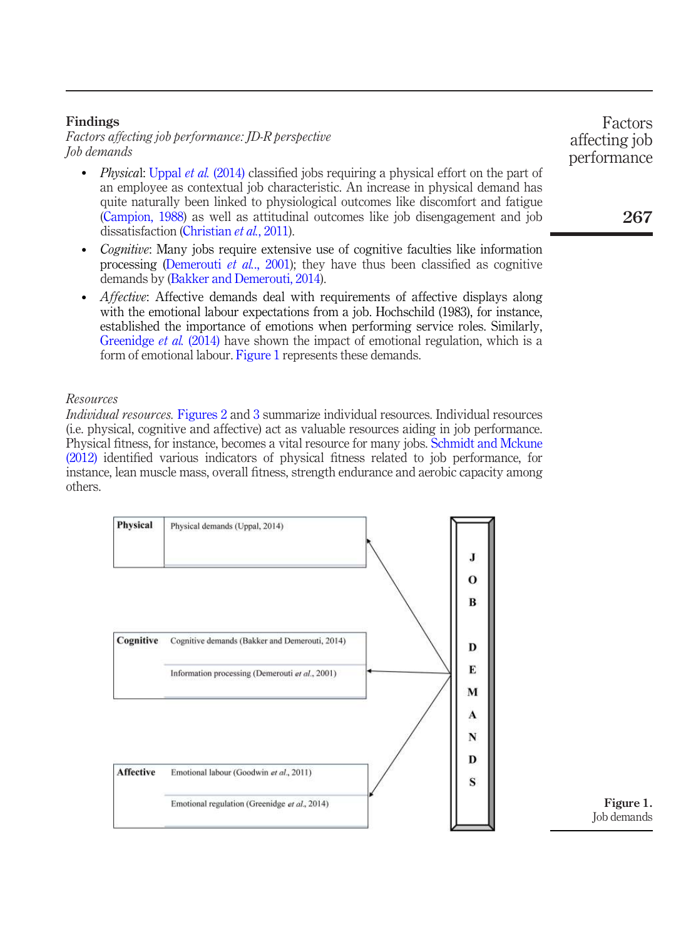# Findings

Factors affecting job performance: JD-R perspective Job demands

- Physical: Uppal et al. (2014) classified jobs requiring a physical effort on the part of an employee as contextual job characteristic. An increase in physical demand has quite naturally been linked to physiological outcomes like discomfort and fatigue (Campion, 1988) as well as attitudinal outcomes like job disengagement and job dissatisfaction (Christian et al., 2011).
- *Cognitive*: Many jobs require extensive use of cognitive faculties like information processing (Demerouti *et al..*, 2001); they have thus been classified as cognitive demands by (Bakker and Demerouti, 2014).
- Affective: Affective demands deal with requirements of affective displays along with the emotional labour expectations from a job. Hochschild (1983), for instance, established the importance of emotions when performing service roles. Similarly, Greenidge *et al.* (2014) have shown the impact of emotional regulation, which is a form of emotional labour. Figure 1 represents these demands.

## Resources

Individual resources. Figures 2 and 3 summarize individual resources. Individual resources (i.e. physical, cognitive and affective) act as valuable resources aiding in job performance. Physical fitness, for instance, becomes a vital resource for many jobs. Schmidt and Mckune (2012) identified various indicators of physical fitness related to job performance, for instance, lean muscle mass, overall fitness, strength endurance and aerobic capacity among others.



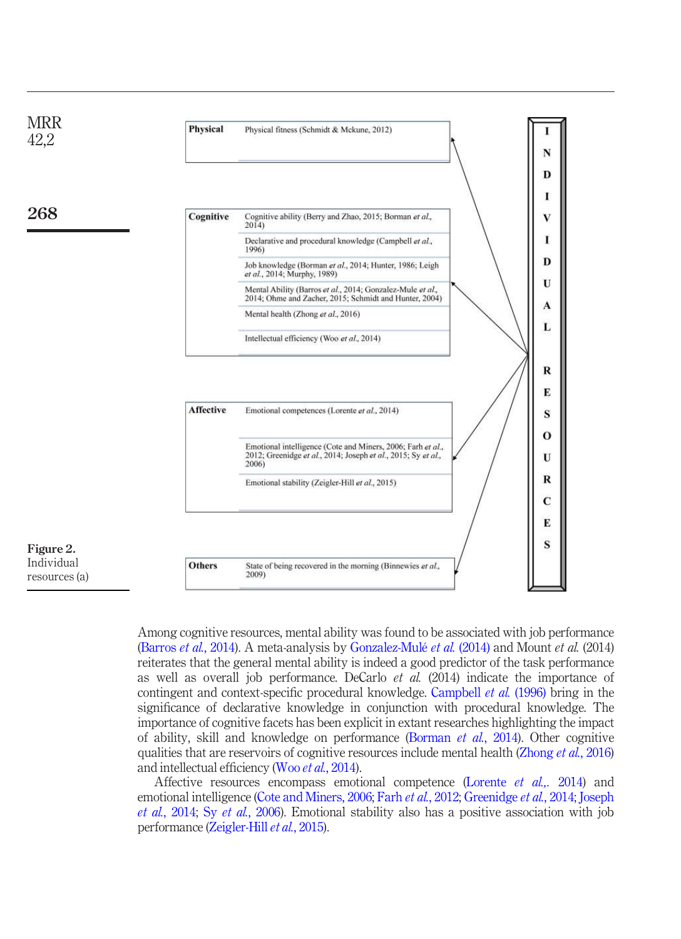

Among cognitive resources, mental ability was found to be associated with job performance (Barros et al., 2014). A meta-analysis by Gonzalez-Mulé et al. (2014) and Mount et al. (2014) reiterates that the general mental ability is indeed a good predictor of the task performance as well as overall job performance. DeCarlo et al. (2014) indicate the importance of contingent and context-specific procedural knowledge. Campbell et al. (1996) bring in the significance of declarative knowledge in conjunction with procedural knowledge. The importance of cognitive facets has been explicit in extant researches highlighting the impact of ability, skill and knowledge on performance (Borman *et al.*, 2014). Other cognitive qualities that are reservoirs of cognitive resources include mental health (Zhong et al., 2016) and intellectual efficiency (Woo et al., 2014).

Affective resources encompass emotional competence (Lorente et al.,. 2014) and emotional intelligence (Cote and Miners, 2006; Farh et al., 2012; Greenidge et al., 2014; Joseph et al., 2014; Sy et al., 2006). Emotional stability also has a positive association with job performance (Zeigler-Hill et al., 2015).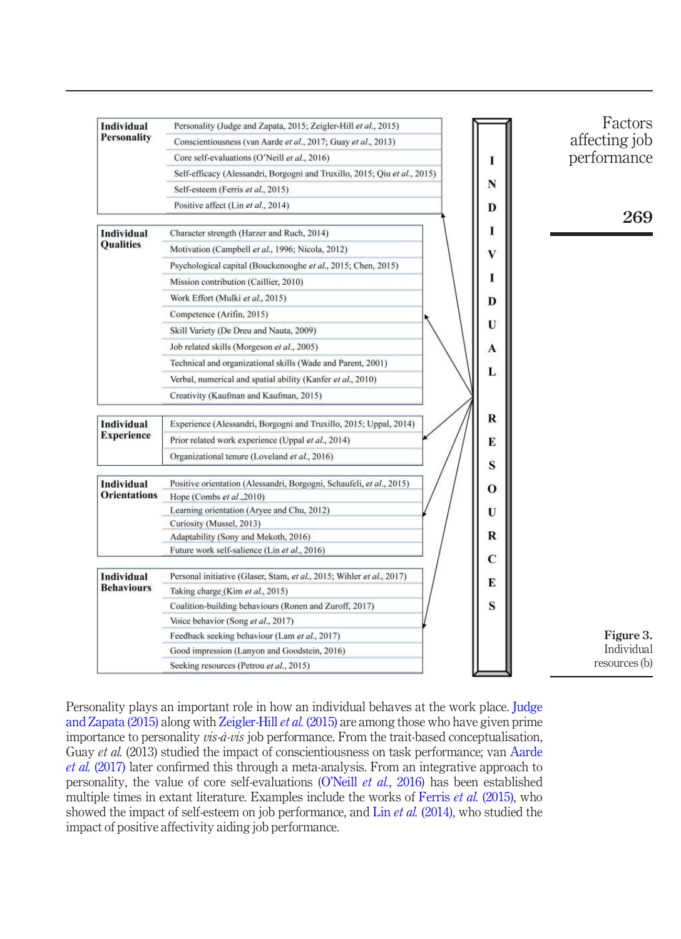

Personality plays an important role in how an individual behaves at the work place. Judge and Zapata (2015) along with Zeigler-Hill *et al.* (2015) are among those who have given prime importance to personality  $vis\cdot\hat{a}-vis$  job performance. From the trait-based conceptualisation, Guay et al. (2013) studied the impact of conscientiousness on task performance; van Aarde et al. (2017) later confirmed this through a meta-analysis. From an integrative approach to personality, the value of core self-evaluations (O'Neill *et al.*, 2016) has been established multiple times in extant literature. Examples include the works of Ferris *et al.* (2015), who showed the impact of self-esteem on job performance, and Lin *et al.* (2014), who studied the impact of positive affectivity aiding job performance.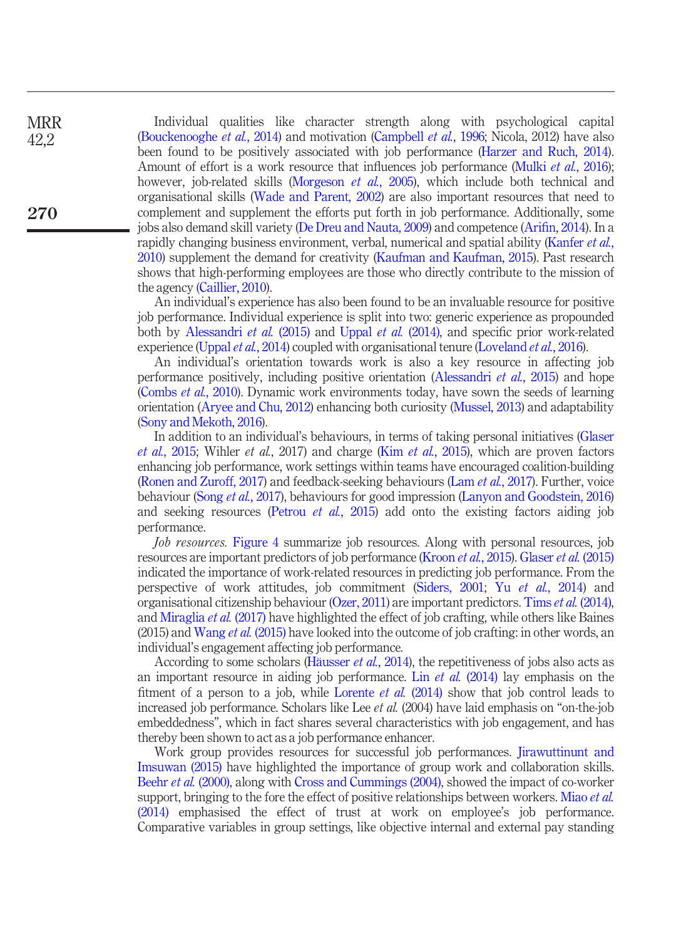Individual qualities like character strength along with psychological capital (Bouckenooghe et al., 2014) and motivation (Campbell et al., 1996; Nicola, 2012) have also been found to be positively associated with job performance (Harzer and Ruch, 2014). Amount of effort is a work resource that influences job performance (Mulki et al., 2016); however, job-related skills (Morgeson *et al.*, 2005), which include both technical and organisational skills (Wade and Parent, 2002) are also important resources that need to complement and supplement the efforts put forth in job performance. Additionally, some jobs also demand skill variety (De Dreu and Nauta, 2009) and competence (Arifin, 2014). In a rapidly changing business environment, verbal, numerical and spatial ability (Kanfer *et al.*, 2010) supplement the demand for creativity (Kaufman and Kaufman, 2015). Past research shows that high-performing employees are those who directly contribute to the mission of the agency (Caillier, 2010).

An individual's experience has also been found to be an invaluable resource for positive job performance. Individual experience is split into two: generic experience as propounded both by Alessandri et al. (2015) and Uppal et al. (2014), and specific prior work-related experience (Uppal *et al.*, 2014) coupled with organisational tenure (Loveland *et al.*, 2016).

An individual's orientation towards work is also a key resource in affecting job performance positively, including positive orientation (Alessandri et al., 2015) and hope (Combs et al., 2010). Dynamic work environments today, have sown the seeds of learning orientation (Aryee and Chu, 2012) enhancing both curiosity (Mussel, 2013) and adaptability (Sony and Mekoth, 2016).

In addition to an individual's behaviours, in terms of taking personal initiatives (Glaser et al., 2015; Wihler et al., 2017) and charge (Kim et al., 2015), which are proven factors enhancing job performance, work settings within teams have encouraged coalition-building (Ronen and Zuroff, 2017) and feedback-seeking behaviours (Lam et al., 2017). Further, voice behaviour (Song et al., 2017), behaviours for good impression (Lanyon and Goodstein, 2016) and seeking resources (Petrou et al., 2015) add onto the existing factors aiding job performance.

Job resources. Figure 4 summarize job resources. Along with personal resources, job resources are important predictors of job performance (Kroon et al., 2015). Glaser et al. (2015) indicated the importance of work-related resources in predicting job performance. From the perspective of work attitudes, job commitment (Siders, 2001; Yu et al., 2014) and organisational citizenship behaviour (Ozer, 2011) are important predictors. Tims et al. (2014), and Miraglia et al. (2017) have highlighted the effect of job crafting, while others like Baines  $(2015)$  and Wang *et al.*  $(2015)$  have looked into the outcome of job crafting: in other words, an individual's engagement affecting job performance.

According to some scholars (Häusser et al., 2014), the repetitiveness of jobs also acts as an important resource in aiding job performance. Lin *et al.*  $(2014)$  lay emphasis on the fitment of a person to a job, while Lorente *et al.*  $(2014)$  show that job control leads to increased job performance. Scholars like Lee *et al.* (2004) have laid emphasis on "on-the-job" embeddedness", which in fact shares several characteristics with job engagement, and has thereby been shown to act as a job performance enhancer.

Work group provides resources for successful job performances. Jirawuttinunt and Imsuwan (2015) have highlighted the importance of group work and collaboration skills. Beehr *et al.* (2000), along with Cross and Cummings (2004), showed the impact of co-worker support, bringing to the fore the effect of positive relationships between workers. Miao *et al.* (2014) emphasised the effect of trust at work on employee's job performance. Comparative variables in group settings, like objective internal and external pay standing

270

**MRR** 42,2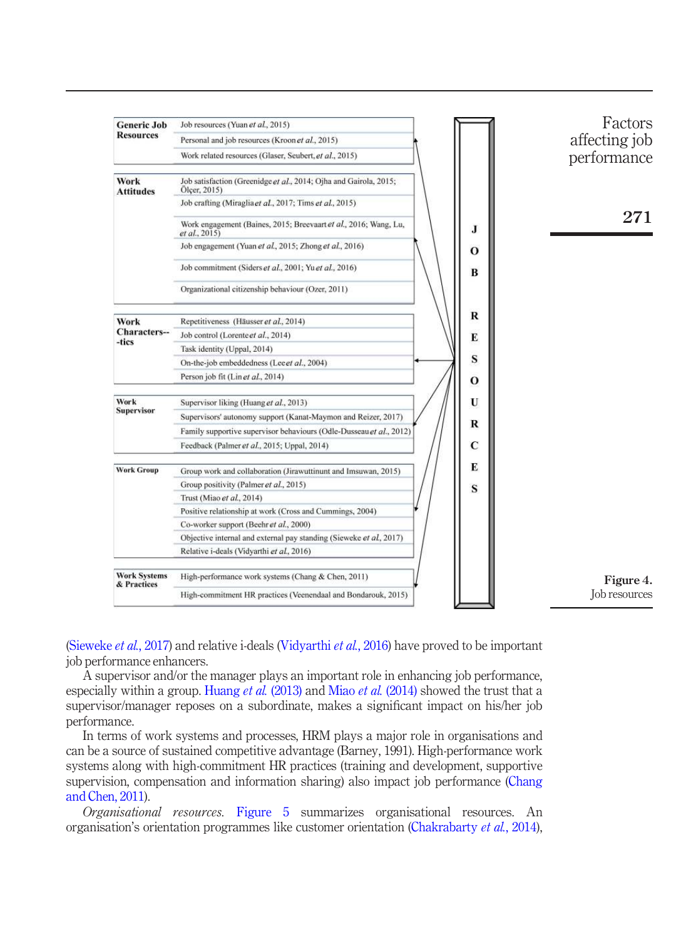

(Sieweke et al., 2017) and relative i-deals (Vidyarthi et al., 2016) have proved to be important job performance enhancers.

A supervisor and/or the manager plays an important role in enhancing job performance, especially within a group. Huang et al.  $(2013)$  and Miao et al.  $(2014)$  showed the trust that a supervisor/manager reposes on a subordinate, makes a significant impact on his/her job performance.

In terms of work systems and processes, HRM plays a major role in organisations and can be a source of sustained competitive advantage (Barney, 1991). High-performance work systems along with high-commitment HR practices (training and development, supportive supervision, compensation and information sharing) also impact job performance (Chang and Chen, 2011).

Organisational resources. Figure 5 summarizes organisational resources. An organisation's orientation programmes like customer orientation (Chakrabarty et al., 2014),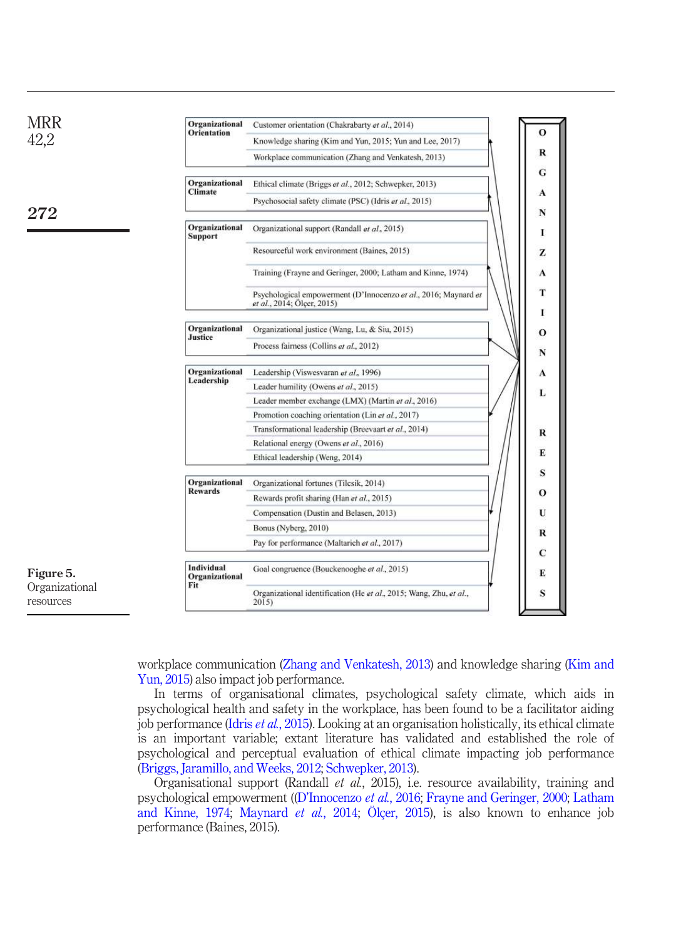![](_page_9_Figure_0.jpeg)

# Figure 5. Organizational resources

workplace communication (Zhang and Venkatesh, 2013) and knowledge sharing (Kim and Yun, 2015) also impact job performance.

In terms of organisational climates, psychological safety climate, which aids in psychological health and safety in the workplace, has been found to be a facilitator aiding job performance (Idris *et al.*, 2015). Looking at an organisation holistically, its ethical climate is an important variable; extant literature has validated and established the role of psychological and perceptual evaluation of ethical climate impacting job performance (Briggs, Jaramillo, and Weeks, 2012; Schwepker, 2013).

Organisational support (Randall et al., 2015), i.e. resource availability, training and psychological empowerment ((D'Innocenzo et al., 2016; Frayne and Geringer, 2000; Latham and Kinne, 1974; Maynard et al., 2014; Ölçer, 2015), is also known to enhance job performance (Baines, 2015).

272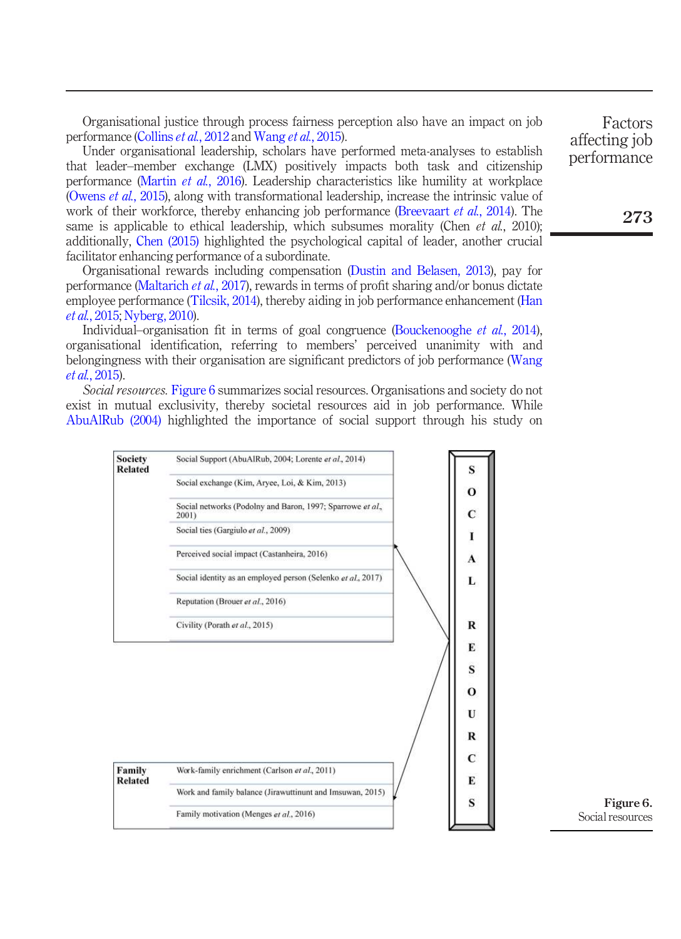Organisational justice through process fairness perception also have an impact on job performance (Collins *et al.*, 2012 and Wang *et al.*, 2015).

Under organisational leadership, scholars have performed meta-analyses to establish that leader–member exchange (LMX) positively impacts both task and citizenship performance (Martin et al., 2016). Leadership characteristics like humility at workplace (Owens et al., 2015), along with transformational leadership, increase the intrinsic value of work of their workforce, thereby enhancing job performance (Breevaart et al., 2014). The same is applicable to ethical leadership, which subsumes morality (Chen *et al.*, 2010); additionally, Chen (2015) highlighted the psychological capital of leader, another crucial facilitator enhancing performance of a subordinate.

Organisational rewards including compensation (Dustin and Belasen, 2013), pay for performance (Maltarich et al., 2017), rewards in terms of profit sharing and/or bonus dictate employee performance (Tilcsik, 2014), thereby aiding in job performance enhancement (Han et al., 2015; Nyberg, 2010).

Individual–organisation fit in terms of goal congruence (Bouckenooghe et al., 2014), organisational identification, referring to members' perceived unanimity with and belongingness with their organisation are significant predictors of job performance (Wang et al., 2015).

Social resources. Figure 6 summarizes social resources. Organisations and society do not exist in mutual exclusivity, thereby societal resources aid in job performance. While AbuAlRub (2004) highlighted the importance of social support through his study on

![](_page_10_Figure_5.jpeg)

Figure 6. Social resources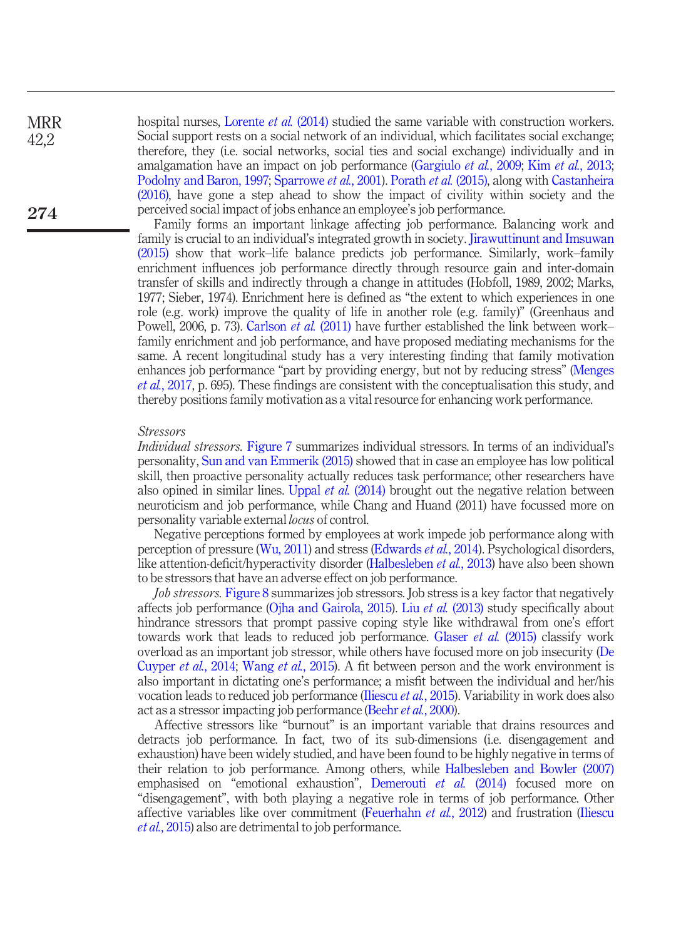MRR 42,2

274

hospital nurses, Lorente *et al.* (2014) studied the same variable with construction workers. Social support rests on a social network of an individual, which facilitates social exchange; therefore, they (i.e. social networks, social ties and social exchange) individually and in amalgamation have an impact on job performance (Gargiulo *et al.*, 2009; Kim *et al.*, 2013; Podolny and Baron, 1997; Sparrowe et al., 2001). Porath et al. (2015), along with Castanheira (2016), have gone a step ahead to show the impact of civility within society and the perceived social impact of jobs enhance an employee's job performance.

Family forms an important linkage affecting job performance. Balancing work and family is crucial to an individual's integrated growth in society. Jirawuttinunt and Imsuwan (2015) show that work–life balance predicts job performance. Similarly, work–family enrichment influences job performance directly through resource gain and inter-domain transfer of skills and indirectly through a change in attitudes (Hobfoll, 1989, 2002; Marks, 1977; Sieber, 1974). Enrichment here is defined as "the extent to which experiences in one role (e.g. work) improve the quality of life in another role (e.g. family)" (Greenhaus and Powell, 2006, p. 73). Carlson et al. (2011) have further established the link between work– family enrichment and job performance, and have proposed mediating mechanisms for the same. A recent longitudinal study has a very interesting finding that family motivation enhances job performance "part by providing energy, but not by reducing stress" (Menges et al., 2017, p. 695). These findings are consistent with the conceptualisation this study, and thereby positions family motivation as a vital resource for enhancing work performance.

#### Stressors

Individual stressors. Figure 7 summarizes individual stressors. In terms of an individual's personality, Sun and van Emmerik (2015) showed that in case an employee has low political skill, then proactive personality actually reduces task performance; other researchers have also opined in similar lines. Uppal *et al.* (2014) brought out the negative relation between neuroticism and job performance, while Chang and Huand (2011) have focussed more on personality variable external locus of control.

Negative perceptions formed by employees at work impede job performance along with perception of pressure (Wu, 2011) and stress (Edwards et al., 2014). Psychological disorders, like attention-deficit/hyperactivity disorder (Halbesleben et al., 2013) have also been shown to be stressors that have an adverse effect on job performance.

Job stressors. Figure 8 summarizes job stressors. Job stress is a key factor that negatively affects job performance (Ojha and Gairola, 2015). Liu et al. (2013) study specifically about hindrance stressors that prompt passive coping style like withdrawal from one's effort towards work that leads to reduced job performance. Glaser et al. (2015) classify work overload as an important job stressor, while others have focused more on job insecurity (De Cuyper et al., 2014; Wang et al., 2015). A fit between person and the work environment is also important in dictating one's performance; a misfit between the individual and her/his vocation leads to reduced job performance (Iliescu et al., 2015). Variability in work does also act as a stressor impacting job performance (Beehr et al., 2000).

Affective stressors like "burnout" is an important variable that drains resources and detracts job performance. In fact, two of its sub-dimensions (i.e. disengagement and exhaustion) have been widely studied, and have been found to be highly negative in terms of their relation to job performance. Among others, while Halbesleben and Bowler (2007) emphasised on "emotional exhaustion", Demerouti et al. (2014) focused more on "disengagement", with both playing a negative role in terms of job performance. Other affective variables like over commitment (Feuerhahn et al., 2012) and frustration (Iliescu et al., 2015) also are detrimental to job performance.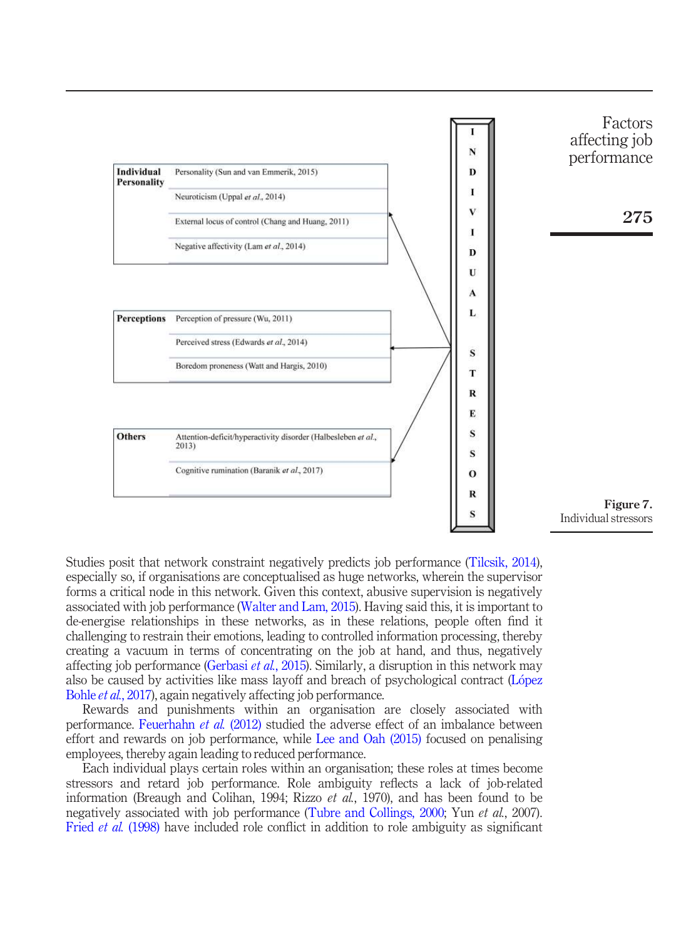![](_page_12_Figure_0.jpeg)

Studies posit that network constraint negatively predicts job performance (Tilcsik, 2014), especially so, if organisations are conceptualised as huge networks, wherein the supervisor forms a critical node in this network. Given this context, abusive supervision is negatively associated with job performance (Walter and Lam, 2015). Having said this, it is important to de-energise relationships in these networks, as in these relations, people often find it challenging to restrain their emotions, leading to controlled information processing, thereby creating a vacuum in terms of concentrating on the job at hand, and thus, negatively affecting job performance (Gerbasi *et al.*, 2015). Similarly, a disruption in this network may also be caused by activities like mass layoff and breach of psychological contract (López Bohle *et al.*, 2017), again negatively affecting job performance.

Rewards and punishments within an organisation are closely associated with performance. Feuerhahn et al. (2012) studied the adverse effect of an imbalance between effort and rewards on job performance, while Lee and Oah (2015) focused on penalising employees, thereby again leading to reduced performance.

Each individual plays certain roles within an organisation; these roles at times become stressors and retard job performance. Role ambiguity reflects a lack of job-related information (Breaugh and Colihan, 1994; Rizzo et al., 1970), and has been found to be negatively associated with job performance (Tubre and Collings, 2000; Yun et al., 2007). Fried *et al.* (1998) have included role conflict in addition to role ambiguity as significant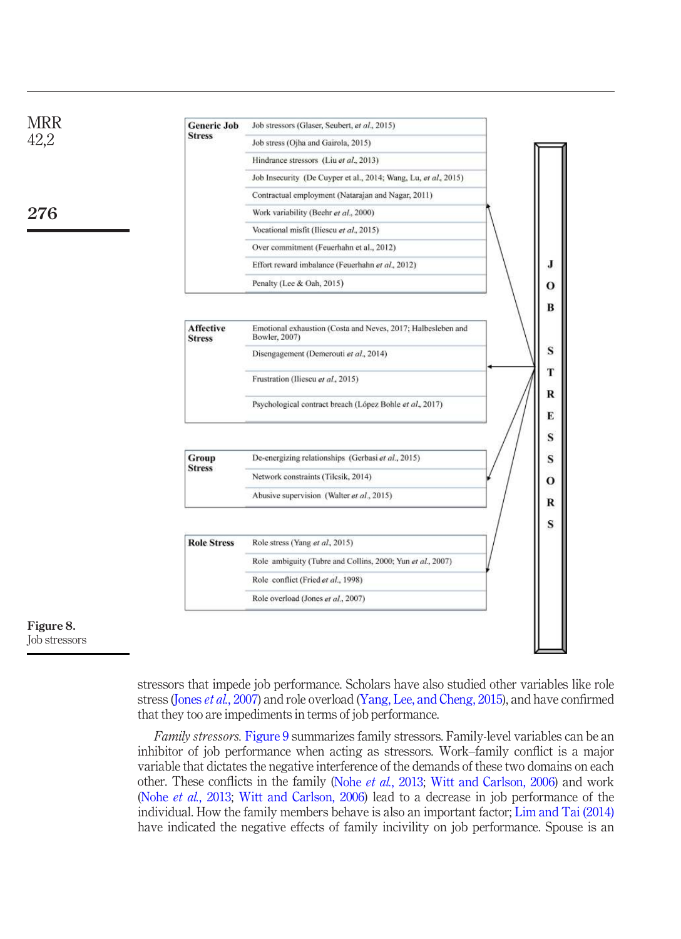![](_page_13_Figure_0.jpeg)

#### Figure 8. Job stressors

**MRR** 42,2

276

stressors that impede job performance. Scholars have also studied other variables like role stress (Jones et al., 2007) and role overload (Yang, Lee, and Cheng, 2015), and have confirmed that they too are impediments in terms of job performance.

Family stressors. Figure 9 summarizes family stressors. Family-level variables can be an inhibitor of job performance when acting as stressors. Work–family conflict is a major variable that dictates the negative interference of the demands of these two domains on each other. These conflicts in the family (Nohe et al., 2013; Witt and Carlson, 2006) and work (Nohe et al., 2013; Witt and Carlson, 2006) lead to a decrease in job performance of the individual. How the family members behave is also an important factor; Lim and Tai (2014) have indicated the negative effects of family incivility on job performance. Spouse is an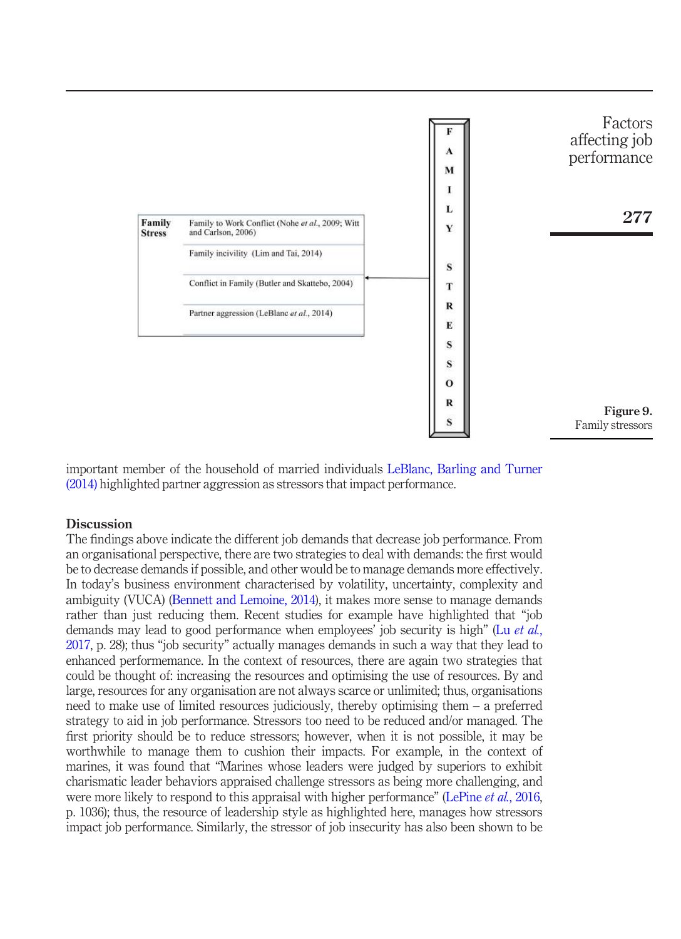![](_page_14_Figure_0.jpeg)

important member of the household of married individuals LeBlanc, Barling and Turner (2014) highlighted partner aggression as stressors that impact performance.

## **Discussion**

The findings above indicate the different job demands that decrease job performance. From an organisational perspective, there are two strategies to deal with demands: the first would be to decrease demands if possible, and other would be to manage demands more effectively. In today's business environment characterised by volatility, uncertainty, complexity and ambiguity (VUCA) (Bennett and Lemoine, 2014), it makes more sense to manage demands rather than just reducing them. Recent studies for example have highlighted that "job demands may lead to good performance when employees' job security is high" (Lu et al., 2017, p. 28); thus "job security" actually manages demands in such a way that they lead to enhanced performemance. In the context of resources, there are again two strategies that could be thought of: increasing the resources and optimising the use of resources. By and large, resources for any organisation are not always scarce or unlimited; thus, organisations need to make use of limited resources judiciously, thereby optimising them – a preferred strategy to aid in job performance. Stressors too need to be reduced and/or managed. The first priority should be to reduce stressors; however, when it is not possible, it may be worthwhile to manage them to cushion their impacts. For example, in the context of marines, it was found that "Marines whose leaders were judged by superiors to exhibit charismatic leader behaviors appraised challenge stressors as being more challenging, and were more likely to respond to this appraisal with higher performance" (LePine et al., 2016, p. 1036); thus, the resource of leadership style as highlighted here, manages how stressors impact job performance. Similarly, the stressor of job insecurity has also been shown to be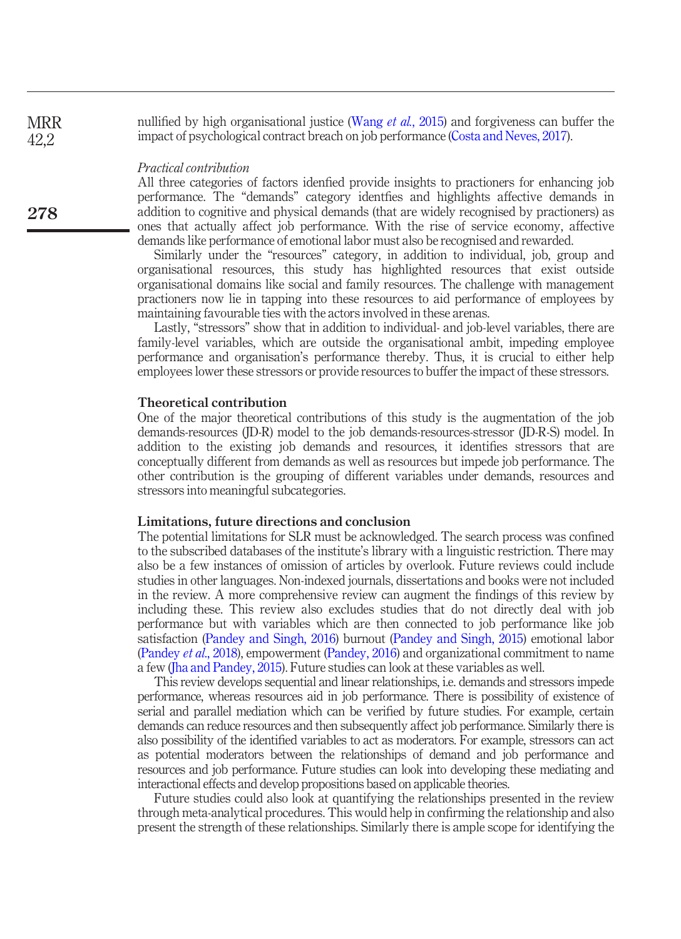nullified by high organisational justice (Wang *et al.*, 2015) and forgiveness can buffer the impact of psychological contract breach on job performance (Costa and Neves, 2017).

#### Practical contribution

All three categories of factors idenfied provide insights to practioners for enhancing job performance. The "demands" category identfies and highlights affective demands in addition to cognitive and physical demands (that are widely recognised by practioners) as ones that actually affect job performance. With the rise of service economy, affective demands like performance of emotional labor must also be recognised and rewarded.

Similarly under the "resources" category, in addition to individual, job, group and organisational resources, this study has highlighted resources that exist outside organisational domains like social and family resources. The challenge with management practioners now lie in tapping into these resources to aid performance of employees by maintaining favourable ties with the actors involved in these arenas.

Lastly, "stressors" show that in addition to individual- and job-level variables, there are family-level variables, which are outside the organisational ambit, impeding employee performance and organisation's performance thereby. Thus, it is crucial to either help employees lower these stressors or provide resources to buffer the impact of these stressors.

#### Theoretical contribution

One of the major theoretical contributions of this study is the augmentation of the job demands-resources (JD-R) model to the job demands-resources-stressor (JD-R-S) model. In addition to the existing job demands and resources, it identifies stressors that are conceptually different from demands as well as resources but impede job performance. The other contribution is the grouping of different variables under demands, resources and stressors into meaningful subcategories.

#### Limitations, future directions and conclusion

The potential limitations for SLR must be acknowledged. The search process was confined to the subscribed databases of the institute's library with a linguistic restriction. There may also be a few instances of omission of articles by overlook. Future reviews could include studies in other languages. Non-indexed journals, dissertations and books were not included in the review. A more comprehensive review can augment the findings of this review by including these. This review also excludes studies that do not directly deal with job performance but with variables which are then connected to job performance like job satisfaction (Pandey and Singh, 2016) burnout (Pandey and Singh, 2015) emotional labor (Pandey et al., 2018), empowerment (Pandey, 2016) and organizational commitment to name a few (Jha and Pandey, 2015). Future studies can look at these variables as well.

This review develops sequential and linear relationships, i.e. demands and stressors impede performance, whereas resources aid in job performance. There is possibility of existence of serial and parallel mediation which can be verified by future studies. For example, certain demands can reduce resources and then subsequently affect job performance. Similarly there is also possibility of the identified variables to act as moderators. For example, stressors can act as potential moderators between the relationships of demand and job performance and resources and job performance. Future studies can look into developing these mediating and interactional effects and develop propositions based on applicable theories.

Future studies could also look at quantifying the relationships presented in the review through meta-analytical procedures. This would help in confirming the relationship and also present the strength of these relationships. Similarly there is ample scope for identifying the

278

**MRR** 42,2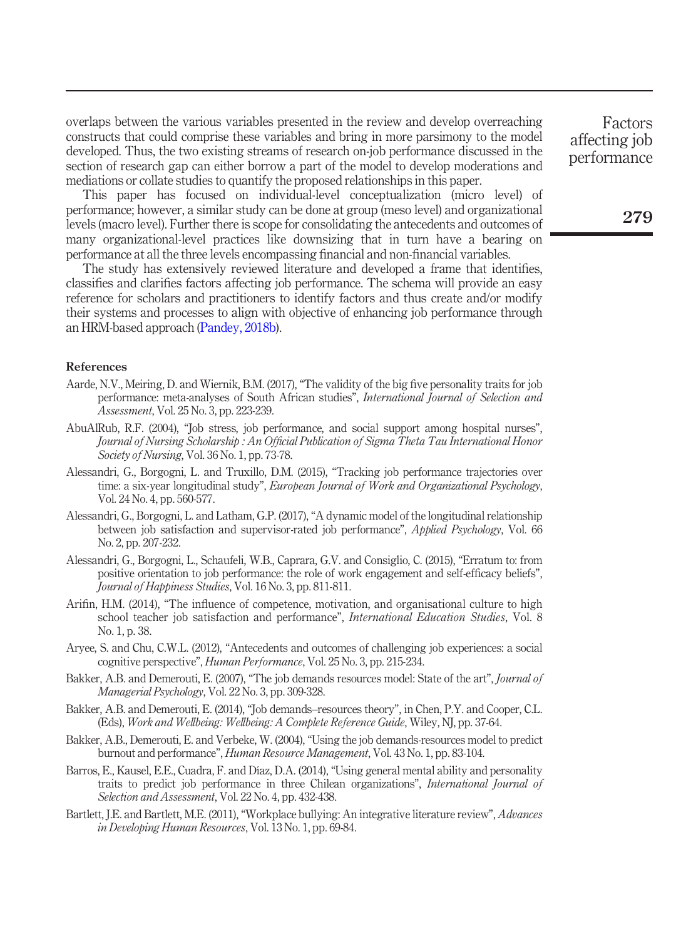overlaps between the various variables presented in the review and develop overreaching constructs that could comprise these variables and bring in more parsimony to the model developed. Thus, the two existing streams of research on-job performance discussed in the section of research gap can either borrow a part of the model to develop moderations and mediations or collate studies to quantify the proposed relationships in this paper.

This paper has focused on individual-level conceptualization (micro level) of performance; however, a similar study can be done at group (meso level) and organizational levels (macro level). Further there is scope for consolidating the antecedents and outcomes of many organizational-level practices like downsizing that in turn have a bearing on performance at all the three levels encompassing financial and non-financial variables.

The study has extensively reviewed literature and developed a frame that identifies, classifies and clarifies factors affecting job performance. The schema will provide an easy reference for scholars and practitioners to identify factors and thus create and/or modify their systems and processes to align with objective of enhancing job performance through an HRM-based approach (Pandey, 2018b).

#### References

- Aarde, N.V., Meiring, D. and Wiernik, B.M. (2017), "The validity of the big five personality traits for job performance: meta-analyses of South African studies", International Journal of Selection and Assessment, Vol. 25 No. 3, pp. 223-239.
- AbuAlRub, R.F. (2004), "Job stress, job performance, and social support among hospital nurses", Journal of Nursing Scholarship : An Official Publication of Sigma Theta Tau International Honor Society of Nursing, Vol. 36 No. 1, pp. 73-78.
- Alessandri, G., Borgogni, L. and Truxillo, D.M. (2015), "Tracking job performance trajectories over time: a six-year longitudinal study", European Journal of Work and Organizational Psychology, Vol. 24 No. 4, pp. 560-577.
- Alessandri, G., Borgogni, L. and Latham, G.P. (2017), "A dynamic model of the longitudinal relationship between job satisfaction and supervisor-rated job performance", Applied Psychology, Vol. 66 No. 2, pp. 207-232.
- Alessandri, G., Borgogni, L., Schaufeli, W.B., Caprara, G.V. and Consiglio, C. (2015), "Erratum to: from positive orientation to job performance: the role of work engagement and self-efficacy beliefs", Journal of Happiness Studies, Vol. 16 No. 3, pp. 811-811.
- Arifin, H.M. (2014), "The influence of competence, motivation, and organisational culture to high school teacher job satisfaction and performance", International Education Studies, Vol. 8 No. 1, p. 38.
- Aryee, S. and Chu, C.W.L. (2012), "Antecedents and outcomes of challenging job experiences: a social cognitive perspective", Human Performance, Vol. 25 No. 3, pp. 215-234.
- Bakker, A.B. and Demerouti, E. (2007), "The job demands resources model: State of the art", *Journal of* Managerial Psychology, Vol. 22 No. 3, pp. 309-328.
- Bakker, A.B. and Demerouti, E. (2014), "Job demands–resources theory", in Chen, P.Y. and Cooper, C.L. (Eds), Work and Wellbeing: Wellbeing: A Complete Reference Guide, Wiley, NJ, pp. 37-64.
- Bakker, A.B., Demerouti, E. and Verbeke, W. (2004), "Using the job demands-resources model to predict burnout and performance", Human Resource Management, Vol. 43 No. 1, pp. 83-104.
- Barros, E., Kausel, E.E., Cuadra, F. and Díaz, D.A. (2014), "Using general mental ability and personality traits to predict job performance in three Chilean organizations", International Journal of Selection and Assessment, Vol. 22 No. 4, pp. 432-438.
- Bartlett, J.E. and Bartlett, M.E. (2011), "Workplace bullying: An integrative literature review", Advances in Developing Human Resources, Vol. 13 No. 1, pp. 69-84.

Factors affecting job performance

279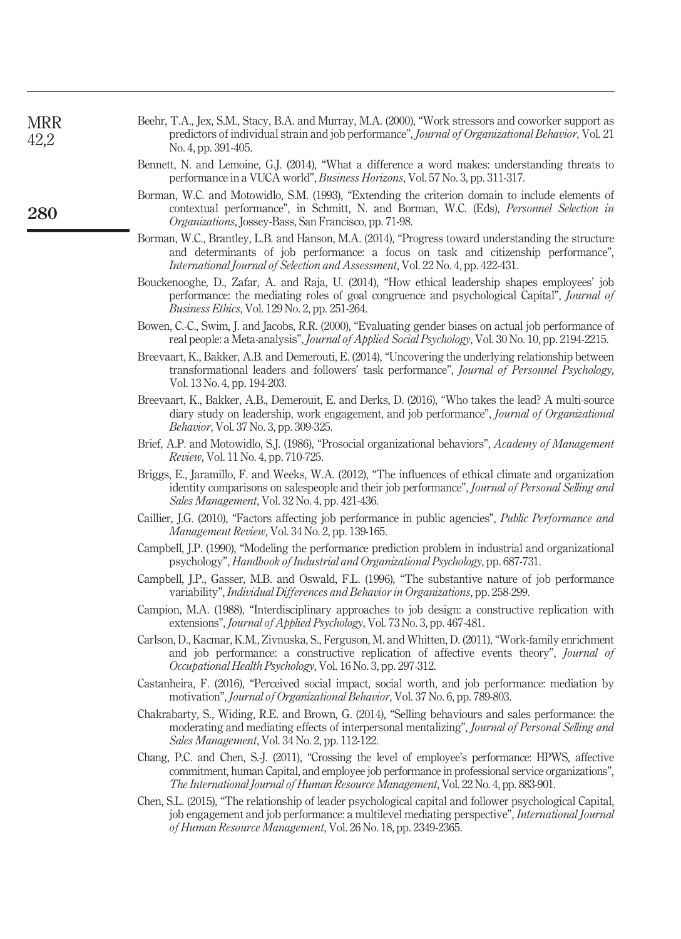| <b>MRR</b><br>42,2 | Beehr, T.A., Jex, S.M., Stacy, B.A. and Murray, M.A. (2000), "Work stressors and coworker support as<br>predictors of individual strain and job performance", Journal of Organizational Behavior, Vol. 21<br>No. 4, pp. 391-405.                                                             |
|--------------------|----------------------------------------------------------------------------------------------------------------------------------------------------------------------------------------------------------------------------------------------------------------------------------------------|
|                    | Bennett, N. and Lemoine, G.J. (2014), "What a difference a word makes: understanding threats to<br>performance in a VUCA world", <i>Business Horizons</i> , Vol. 57 No. 3, pp. 311-317.                                                                                                      |
| 280                | Borman, W.C. and Motowidlo, S.M. (1993), "Extending the criterion domain to include elements of<br>contextual performance", in Schmitt, N. and Borman, W.C. (Eds), Personnel Selection in<br><i>Organizations</i> , Jossey-Bass, San Francisco, pp. 71-98.                                   |
|                    | Borman, W.C., Brantley, L.B. and Hanson, M.A. (2014), "Progress toward understanding the structure<br>and determinants of job performance: a focus on task and citizenship performance",<br><i>International Journal of Selection and Assessment, Vol. 22 No. 4, pp. 422-431.</i>            |
|                    | Bouckenooghe, D., Zafar, A. and Raja, U. (2014), "How ethical leadership shapes employees' job<br>performance: the mediating roles of goal congruence and psychological Capital", Journal of<br><i>Business Ethics</i> , Vol. 129 No. 2, pp. 251-264.                                        |
|                    | Bowen, C.-C., Swim, J. and Jacobs, R.R. (2000), "Evaluating gender biases on actual job performance of<br>real people: a Meta-analysis", <i>Journal of Applied Social Psychology</i> , Vol. 30 No. 10, pp. 2194-2215.                                                                        |
|                    | Breevaart, K., Bakker, A.B. and Demerouti, E. (2014), "Uncovering the underlying relationship between<br>transformational leaders and followers' task performance", Journal of Personnel Psychology,<br>Vol. 13 No. 4, pp. 194-203.                                                          |
|                    | Breevaart, K., Bakker, A.B., Demerouit, E. and Derks, D. (2016), "Who takes the lead? A multi-source<br>diary study on leadership, work engagement, and job performance", Journal of Organizational<br><i>Behavior</i> , Vol. 37 No. 3, pp. 309-325.                                         |
|                    | Brief, A.P. and Motowidlo, S.J. (1986), "Prosocial organizational behaviors", Academy of Management<br><i>Review</i> , Vol. 11 No. 4, pp. 710-725.                                                                                                                                           |
|                    | Briggs, E., Jaramillo, F. and Weeks, W.A. (2012), "The influences of ethical climate and organization<br>identity comparisons on salespeople and their job performance", Journal of Personal Selling and<br>Sales Management, Vol. 32 No. 4, pp. 421-436.                                    |
|                    | Caillier, J.G. (2010), "Factors affecting job performance in public agencies", <i>Public Performance and</i><br>Management Review, Vol. 34 No. 2, pp. 139-165.                                                                                                                               |
|                    | Campbell, J.P. (1990), "Modeling the performance prediction problem in industrial and organizational<br>psychology", <i>Handbook of Industrial and Organizational Psychology</i> , pp. 687-731.                                                                                              |
|                    | Campbell, J.P., Gasser, M.B. and Oswald, F.L. (1996), "The substantive nature of job performance<br>variability", <i>Individual Differences and Behavior in Organizations</i> , pp. 258-299.                                                                                                 |
|                    | Campion, M.A. (1988), "Interdisciplinary approaches to job design: a constructive replication with<br>extensions", Journal of Applied Psychology, Vol. 73 No. 3, pp. 467-481.                                                                                                                |
|                    | Carlson, D., Kacmar, K.M., Zivnuska, S., Ferguson, M. and Whitten, D. (2011), "Work-family enrichment<br>and job performance: a constructive replication of affective events theory", Journal of<br>Occupational Health Psychology, Vol. 16 No. 3, pp. 297-312.                              |
|                    | Castanheira, F. (2016), "Perceived social impact, social worth, and job performance: mediation by<br>motivation", Journal of Organizational Behavior, Vol. 37 No. 6, pp. 789-803.                                                                                                            |
|                    | Chakrabarty, S., Widing, R.E. and Brown, G. (2014), "Selling behaviours and sales performance: the<br>moderating and mediating effects of interpersonal mentalizing", Journal of Personal Selling and<br>Sales Management, Vol. 34 No. 2, pp. 112-122.                                       |
|                    | Chang, P.C. and Chen, S.-J. (2011), "Crossing the level of employee's performance: HPWS, affective<br>commitment, human Capital, and employee job performance in professional service organizations",<br>The International Journal of Human Resource Management, Vol. 22 No. 4, pp. 883-901. |
|                    | Chen, S.L. (2015), "The relationship of leader psychological capital and follower psychological Capital,<br>job engagement and job performance: a multilevel mediating perspective", <i>International Journal</i><br>of Human Resource Management, Vol. 26 No. 18, pp. 2349-2365.            |
|                    |                                                                                                                                                                                                                                                                                              |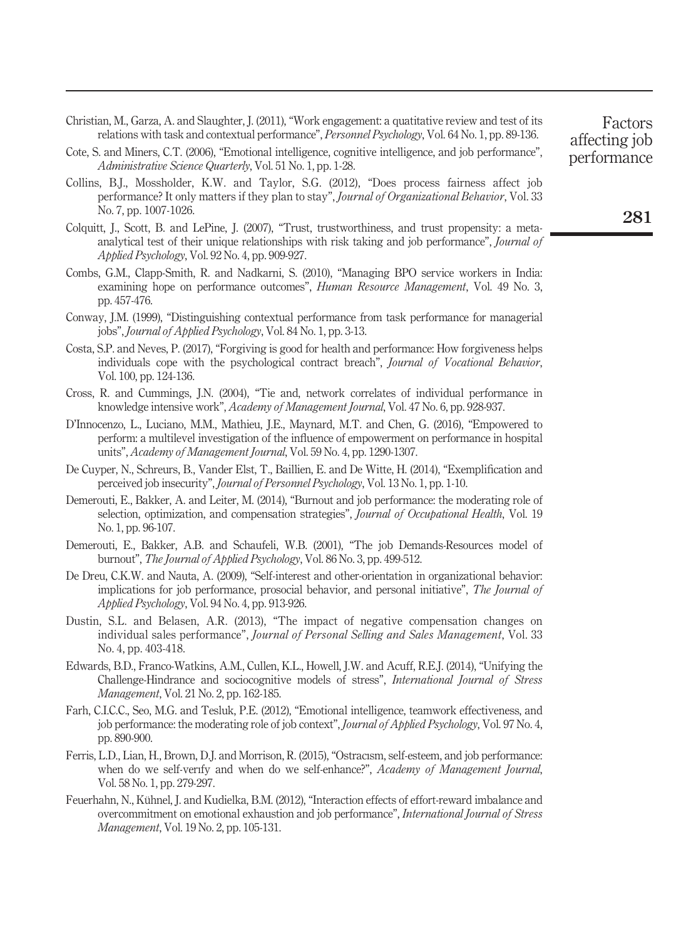- Christian, M., Garza, A. and Slaughter, J. (2011), "Work engagement: a quatitative review and test of its relations with task and contextual performance", Personnel Psychology, Vol. 64 No. 1, pp. 89-136.
- Cote, S. and Miners, C.T. (2006), "Emotional intelligence, cognitive intelligence, and job performance", Administrative Science Quarterly, Vol. 51 No. 1, pp. 1-28.
- Collins, B.J., Mossholder, K.W. and Taylor, S.G. (2012), "Does process fairness affect job performance? It only matters if they plan to stay", Journal of Organizational Behavior, Vol. 33 No. 7, pp. 1007-1026.
- Colquitt, J., Scott, B. and LePine, J. (2007), "Trust, trustworthiness, and trust propensity: a metaanalytical test of their unique relationships with risk taking and job performance", Journal of Applied Psychology, Vol. 92 No. 4, pp. 909-927.
- Combs, G.M., Clapp-Smith, R. and Nadkarni, S. (2010), "Managing BPO service workers in India: examining hope on performance outcomes", *Human Resource Management*, Vol. 49 No. 3, pp. 457-476.
- Conway, J.M. (1999), "Distinguishing contextual performance from task performance for managerial jobs", Journal of Applied Psychology, Vol. 84 No. 1, pp. 3-13.
- Costa, S.P. and Neves, P. (2017), "Forgiving is good for health and performance: How forgiveness helps individuals cope with the psychological contract breach", Journal of Vocational Behavior, Vol. 100, pp. 124-136.
- Cross, R. and Cummings, J.N. (2004), "Tie and, network correlates of individual performance in knowledge intensive work", Academy of Management Journal, Vol. 47 No. 6, pp. 928-937.
- D'Innocenzo, L., Luciano, M.M., Mathieu, J.E., Maynard, M.T. and Chen, G. (2016), "Empowered to perform: a multilevel investigation of the influence of empowerment on performance in hospital units", Academy of Management Journal, Vol. 59 No. 4, pp. 1290-1307.
- De Cuyper, N., Schreurs, B., Vander Elst, T., Baillien, E. and De Witte, H. (2014), "Exemplification and perceived job insecurity", Journal of Personnel Psychology, Vol. 13 No. 1, pp. 1-10.
- Demerouti, E., Bakker, A. and Leiter, M. (2014), "Burnout and job performance: the moderating role of selection, optimization, and compensation strategies", Journal of Occupational Health, Vol. 19 No. 1, pp. 96-107.
- Demerouti, E., Bakker, A.B. and Schaufeli, W.B. (2001), "The job Demands-Resources model of burnout", The Journal of Applied Psychology, Vol. 86 No. 3, pp. 499-512.
- De Dreu, C.K.W. and Nauta, A. (2009), "Self-interest and other-orientation in organizational behavior: implications for job performance, prosocial behavior, and personal initiative", The Journal of Applied Psychology, Vol. 94 No. 4, pp. 913-926.
- Dustin, S.L. and Belasen, A.R. (2013), "The impact of negative compensation changes on individual sales performance", Journal of Personal Selling and Sales Management, Vol. 33 No. 4, pp. 403-418.
- Edwards, B.D., Franco-Watkins, A.M., Cullen, K.L., Howell, J.W. and Acuff, R.E.J. (2014), "Unifying the Challenge-Hindrance and sociocognitive models of stress", International Journal of Stress Management, Vol. 21 No. 2, pp. 162-185.
- Farh, C.I.C.C., Seo, M.G. and Tesluk, P.E. (2012), "Emotional intelligence, teamwork effectiveness, and job performance: the moderating role of job context", Journal of Applied Psychology, Vol. 97 No. 4, pp. 890-900.
- Ferris, L.D., Lian, H., Brown, D.J. and Morrison, R. (2015), "Ostracısm, self-esteem, and job performance: when do we self-verify and when do we self-enhance?", Academy of Management Journal, Vol. 58 No. 1, pp. 279-297.
- Feuerhahn, N., Kühnel, J. and Kudielka, B.M. (2012), "Interaction effects of effort-reward imbalance and overcommitment on emotional exhaustion and job performance", International Journal of Stress Management, Vol. 19 No. 2, pp. 105-131.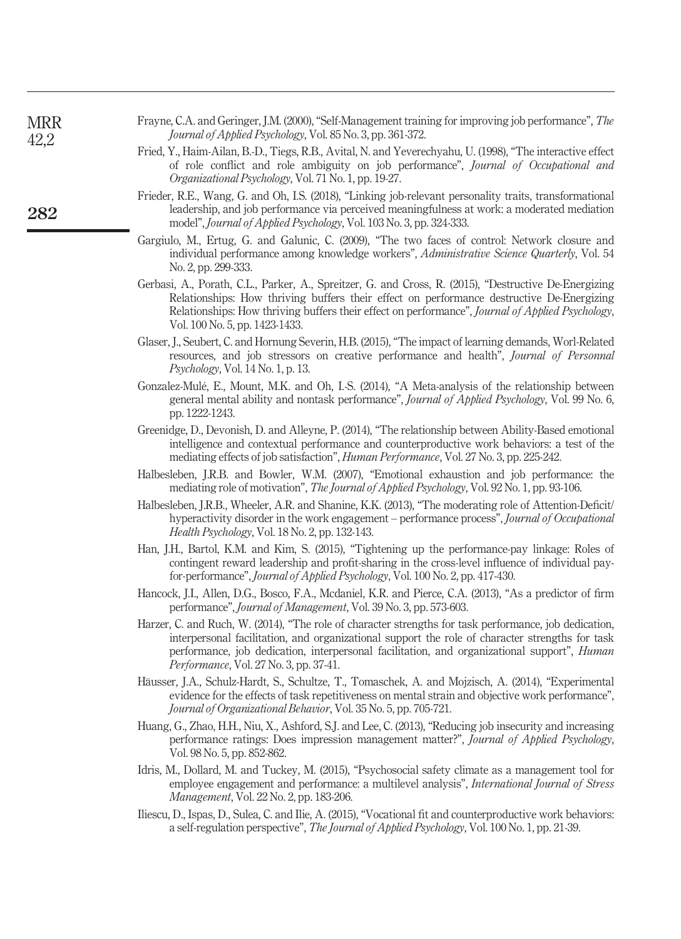| <b>MRR</b><br>42,2 | Frayne, C.A. and Geringer, J.M. (2000), "Self-Management training for improving job performance", The<br><i>Journal of Applied Psychology, Vol. 85 No. 3, pp. 361-372.</i>                                                                                                                                                                                |
|--------------------|-----------------------------------------------------------------------------------------------------------------------------------------------------------------------------------------------------------------------------------------------------------------------------------------------------------------------------------------------------------|
|                    | Fried, Y., Haim-Ailan, B.-D., Tiegs, R.B., Avital, N. and Yeverechyahu, U. (1998), "The interactive effect<br>of role conflict and role ambiguity on job performance", Journal of Occupational and<br>Organizational Psychology, Vol. 71 No. 1, pp. 19-27.                                                                                                |
| 282                | Frieder, R.E., Wang, G. and Oh, I.S. (2018), "Linking job-relevant personality traits, transformational<br>leadership, and job performance via perceived meaningfulness at work: a moderated mediation<br>model", Journal of Applied Psychology, Vol. 103 No. 3, pp. 324-333.                                                                             |
|                    | Gargiulo, M., Ertug, G. and Galunic, C. (2009), "The two faces of control: Network closure and<br>individual performance among knowledge workers", Administrative Science Quarterly, Vol. 54<br>No. 2, pp. 299-333.                                                                                                                                       |
|                    | Gerbasi, A., Porath, C.L., Parker, A., Spreitzer, G. and Cross, R. (2015), "Destructive De-Energizing<br>Relationships: How thriving buffers their effect on performance destructive De-Energizing<br>Relationships: How thriving buffers their effect on performance", Journal of Applied Psychology,<br>Vol. 100 No. 5, pp. 1423-1433.                  |
|                    | Glaser, J., Seubert, C. and Hornung Severin, H.B. (2015), "The impact of learning demands, Worl-Related<br>resources, and job stressors on creative performance and health", Journal of Personnal<br><i>Psychology</i> , Vol. 14 No. 1, p. 13.                                                                                                            |
|                    | Gonzalez-Mulé, E., Mount, M.K. and Oh, I.-S. (2014), "A Meta-analysis of the relationship between<br>general mental ability and nontask performance", Journal of Applied Psychology, Vol. 99 No. 6,<br>pp. 1222-1243.                                                                                                                                     |
|                    | Greenidge, D., Devonish, D. and Alleyne, P. (2014), "The relationship between Ability-Based emotional<br>intelligence and contextual performance and counterproductive work behaviors: a test of the<br>mediating effects of job satisfaction", <i>Human Performance</i> , Vol. 27 No. 3, pp. 225-242.                                                    |
|                    | Halbesleben, J.R.B. and Bowler, W.M. (2007), "Emotional exhaustion and job performance: the<br>mediating role of motivation", The Journal of Applied Psychology, Vol. 92 No. 1, pp. 93-106.                                                                                                                                                               |
|                    | Halbesleben, J.R.B., Wheeler, A.R. and Shanine, K.K. (2013), "The moderating role of Attention-Deficit/<br>hyperactivity disorder in the work engagement – performance process", Journal of Occupational<br>Health Psychology, Vol. 18 No. 2, pp. 132-143.                                                                                                |
|                    | Han, J.H., Bartol, K.M. and Kim, S. (2015), "Tightening up the performance-pay linkage: Roles of<br>contingent reward leadership and profit-sharing in the cross-level influence of individual pay-<br>for-performance", Journal of Applied Psychology, Vol. 100 No. 2, pp. 417-430.                                                                      |
|                    | Hancock, J.I., Allen, D.G., Bosco, F.A., Mcdaniel, K.R. and Pierce, C.A. (2013), "As a predictor of firm<br>performance", Journal of Management, Vol. 39 No. 3, pp. 573-603.                                                                                                                                                                              |
|                    | Harzer, C. and Ruch, W. (2014), "The role of character strengths for task performance, job dedication,<br>interpersonal facilitation, and organizational support the role of character strengths for task<br>performance, job dedication, interpersonal facilitation, and organizational support", <i>Human</i><br>Performance, Vol. 27 No. 3, pp. 37-41. |
|                    | Häusser, J.A., Schulz-Hardt, S., Schultze, T., Tomaschek, A. and Mojzisch, A. (2014), "Experimental<br>evidence for the effects of task repetitiveness on mental strain and objective work performance",<br>Journal of Organizational Behavior, Vol. 35 No. 5, pp. 705-721.                                                                               |
|                    | Huang, G., Zhao, H.H., Niu, X., Ashford, S.J. and Lee, C. (2013), "Reducing job insecurity and increasing<br>performance ratings: Does impression management matter?", Journal of Applied Psychology,<br>Vol. 98 No. 5, pp. 852-862.                                                                                                                      |
|                    | Idris, M., Dollard, M. and Tuckey, M. (2015), "Psychosocial safety climate as a management tool for<br>employee engagement and performance: a multilevel analysis", <i>International Journal of Stress</i><br>Management, Vol. 22 No. 2, pp. 183-206.                                                                                                     |
|                    | Iliescu, D., Ispas, D., Sulea, C. and Ilie, A. (2015), "Vocational fit and counterproductive work behaviors:<br>a self-regulation perspective", The Journal of Applied Psychology, Vol. 100 No. 1, pp. 21-39.                                                                                                                                             |
|                    |                                                                                                                                                                                                                                                                                                                                                           |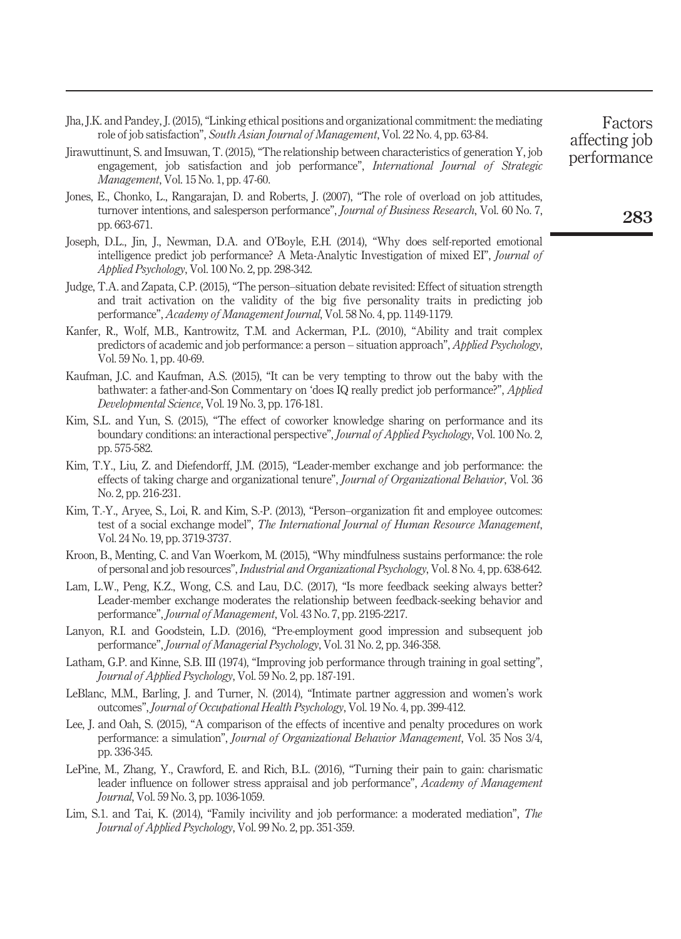- Jha, J.K. and Pandey, J. (2015),"Linking ethical positions and organizational commitment: the mediating role of job satisfaction", South Asian Journal of Management, Vol. 22 No. 4, pp. 63-84.
- Jirawuttinunt, S. and Imsuwan, T. (2015), "The relationship between characteristics of generation Y, job engagement, job satisfaction and job performance", International Journal of Strategic Management, Vol. 15 No. 1, pp. 47-60.
- Jones, E., Chonko, L., Rangarajan, D. and Roberts, J. (2007), "The role of overload on job attitudes, turnover intentions, and salesperson performance", Journal of Business Research, Vol. 60 No. 7, pp. 663-671.
- Joseph, D.L., Jin, J., Newman, D.A. and O'Boyle, E.H. (2014), "Why does self-reported emotional intelligence predict job performance? A Meta-Analytic Investigation of mixed EI", Journal of Applied Psychology, Vol. 100 No. 2, pp. 298-342.
- Judge, T.A. and Zapata, C.P. (2015), "The person–situation debate revisited: Effect of situation strength and trait activation on the validity of the big five personality traits in predicting job performance", Academy of Management Journal, Vol. 58 No. 4, pp. 1149-1179.
- Kanfer, R., Wolf, M.B., Kantrowitz, T.M. and Ackerman, P.L. (2010), "Ability and trait complex predictors of academic and job performance: a person – situation approach", Applied Psychology, Vol. 59 No. 1, pp. 40-69.
- Kaufman, J.C. and Kaufman, A.S. (2015), "It can be very tempting to throw out the baby with the bathwater: a father-and-Son Commentary on 'does IQ really predict job performance?", Applied Developmental Science, Vol. 19 No. 3, pp. 176-181.
- Kim, S.L. and Yun, S. (2015), "The effect of coworker knowledge sharing on performance and its boundary conditions: an interactional perspective", Journal of Applied Psychology, Vol. 100 No. 2, pp. 575-582.
- Kim, T.Y., Liu, Z. and Diefendorff, J.M. (2015), "Leader-member exchange and job performance: the effects of taking charge and organizational tenure", Journal of Organizational Behavior, Vol. 36 No. 2, pp. 216-231.
- Kim, T.-Y., Aryee, S., Loi, R. and Kim, S.-P. (2013), "Person–organization fit and employee outcomes: test of a social exchange model", The International Journal of Human Resource Management, Vol. 24 No. 19, pp. 3719-3737.
- Kroon, B., Menting, C. and Van Woerkom, M. (2015), "Why mindfulness sustains performance: the role of personal and job resources", Industrial and Organizational Psychology, Vol. 8 No. 4, pp. 638-642.
- Lam, L.W., Peng, K.Z., Wong, C.S. and Lau, D.C. (2017), "Is more feedback seeking always better? Leader-member exchange moderates the relationship between feedback-seeking behavior and performance", Journal of Management, Vol. 43 No. 7, pp. 2195-2217.
- Lanyon, R.I. and Goodstein, L.D. (2016), "Pre-employment good impression and subsequent job performance", Journal of Managerial Psychology, Vol. 31 No. 2, pp. 346-358.
- Latham, G.P. and Kinne, S.B. III (1974), "Improving job performance through training in goal setting", Journal of Applied Psychology, Vol. 59 No. 2, pp. 187-191.
- LeBlanc, M.M., Barling, J. and Turner, N. (2014), "Intimate partner aggression and women's work outcomes", Journal of Occupational Health Psychology, Vol. 19 No. 4, pp. 399-412.
- Lee, J. and Oah, S. (2015), "A comparison of the effects of incentive and penalty procedures on work performance: a simulation", Journal of Organizational Behavior Management, Vol. 35 Nos 3/4, pp. 336-345.
- LePine, M., Zhang, Y., Crawford, E. and Rich, B.L. (2016), "Turning their pain to gain: charismatic leader influence on follower stress appraisal and job performance", Academy of Management Journal, Vol. 59 No. 3, pp. 1036-1059.
- Lim, S.1. and Tai, K. (2014), "Family incivility and job performance: a moderated mediation", The Journal of Applied Psychology, Vol. 99 No. 2, pp. 351-359.

Factors affecting job performance

283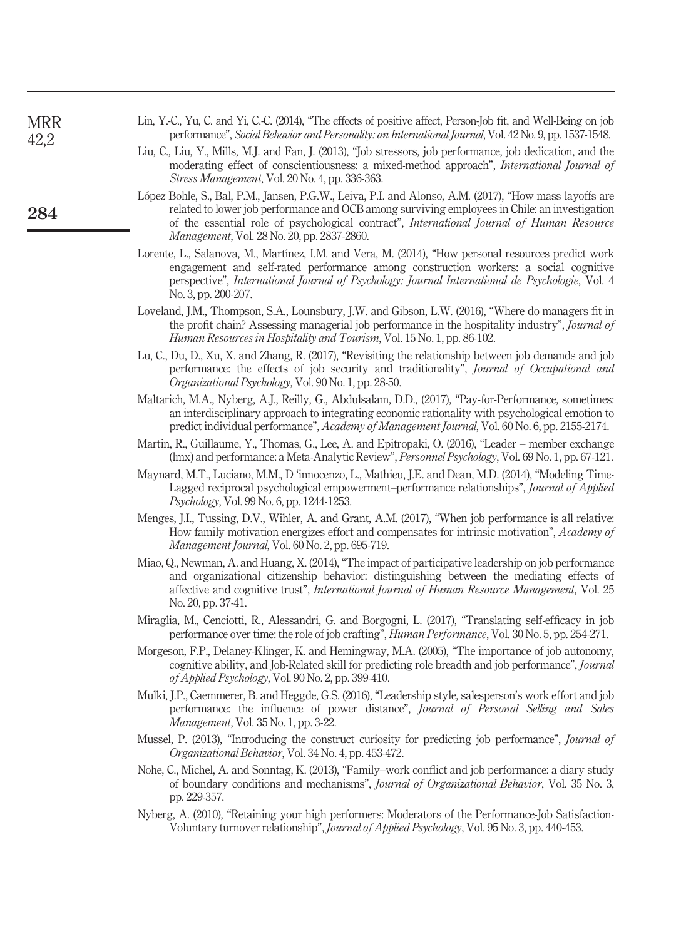| <b>MRR</b><br>42,2 | Lin, Y.-C., Yu, C. and Yi, C.-C. (2014), "The effects of positive affect, Person-Job fit, and Well-Being on job<br>performance", Social Behavior and Personality: an International Journal, Vol. 42 No. 9, pp. 1537-1548.                                                                                                                          |
|--------------------|----------------------------------------------------------------------------------------------------------------------------------------------------------------------------------------------------------------------------------------------------------------------------------------------------------------------------------------------------|
|                    | Liu, C., Liu, Y., Mills, M.J. and Fan, J. (2013), "Job stressors, job performance, job dedication, and the<br>moderating effect of conscientiousness: a mixed-method approach", <i>International Journal of</i><br><i>Stress Management, Vol. 20 No. 4, pp. 336-363.</i>                                                                           |
| 284                | López Bohle, S., Bal, P.M., Jansen, P.G.W., Leiva, P.I. and Alonso, A.M. (2017), "How mass layoffs are<br>related to lower job performance and OCB among surviving employees in Chile: an investigation<br>of the essential role of psychological contract", International Journal of Human Resource<br>Management, Vol. 28 No. 20, pp. 2837-2860. |
|                    | Lorente, L., Salanova, M., Martínez, I.M. and Vera, M. (2014), "How personal resources predict work<br>engagement and self-rated performance among construction workers: a social cognitive<br>perspective", International Journal of Psychology: Journal International de Psychologie, Vol. 4<br>No. 3, pp. 200-207.                              |
|                    | Loveland, J.M., Thompson, S.A., Lounsbury, J.W. and Gibson, L.W. (2016), "Where do managers fit in<br>the profit chain? Assessing managerial job performance in the hospitality industry", Journal of<br>Human Resources in Hospitality and Tourism, Vol. 15 No. 1, pp. 86-102.                                                                    |
|                    | Lu, C., Du, D., Xu, X. and Zhang, R. (2017), "Revisiting the relationship between job demands and job<br>performance: the effects of job security and traditionality", Journal of Occupational and<br>Organizational Psychology, Vol. 90 No. 1, pp. 28-50.                                                                                         |
|                    | Maltarich, M.A., Nyberg, A.J., Reilly, G., Abdulsalam, D.D., (2017), "Pay-for-Performance, sometimes:<br>an interdisciplinary approach to integrating economic rationality with psychological emotion to<br>predict individual performance", Academy of Management Journal, Vol. 60 No. 6, pp. 2155-2174.                                          |
|                    | Martin, R., Guillaume, Y., Thomas, G., Lee, A. and Epitropaki, O. (2016), "Leader – member exchange<br>(lmx) and performance: a Meta-Analytic Review", Personnel Psychology, Vol. 69 No. 1, pp. 67-121.                                                                                                                                            |
|                    | Maynard, M.T., Luciano, M.M., D 'innocenzo, L., Mathieu, J.E. and Dean, M.D. (2014), "Modeling Time-<br>Lagged reciprocal psychological empowerment-performance relationships", Journal of Applied<br><i>Psychology</i> , Vol. 99 No. 6, pp. 1244-1253.                                                                                            |
|                    | Menges, J.I., Tussing, D.V., Wihler, A. and Grant, A.M. (2017), "When job performance is all relative:<br>How family motivation energizes effort and compensates for intrinsic motivation", Academy of<br><i>Management Journal, Vol.</i> 60 No. 2, pp. 695-719.                                                                                   |
|                    | Miao, Q., Newman, A. and Huang, X. (2014), "The impact of participative leadership on job performance<br>and organizational citizenship behavior: distinguishing between the mediating effects of<br>affective and cognitive trust", International Journal of Human Resource Management, Vol. 25<br>No. 20, pp. 37-41.                             |
|                    | Miraglia, M., Cenciotti, R., Alessandri, G. and Borgogni, L. (2017), "Translating self-efficacy in job<br>performance over time: the role of job crafting", <i>Human Performance</i> , Vol. 30 No. 5, pp. 254-271.                                                                                                                                 |
|                    | Morgeson, F.P., Delaney-Klinger, K. and Hemingway, M.A. (2005), "The importance of job autonomy,<br>cognitive ability, and Job-Related skill for predicting role breadth and job performance", Journal<br>of Applied Psychology, Vol. 90 No. 2, pp. 399-410.                                                                                       |
|                    | Mulki, J.P., Caemmerer, B. and Heggde, G.S. (2016), "Leadership style, salesperson's work effort and job<br>performance: the influence of power distance", Journal of Personal Selling and Sales<br><i>Management</i> , Vol. 35 No. 1, pp. 3-22.                                                                                                   |
|                    | Mussel, P. (2013), "Introducing the construct curiosity for predicting job performance", Journal of<br>Organizational Behavior, Vol. 34 No. 4, pp. 453-472.                                                                                                                                                                                        |
|                    | Nohe, C., Michel, A. and Sonntag, K. (2013), "Family-work conflict and job performance: a diary study<br>of boundary conditions and mechanisms", Journal of Organizational Behavior, Vol. 35 No. 3,<br>pp. 229-357.                                                                                                                                |
|                    | Nyberg, A. (2010), "Retaining your high performers: Moderators of the Performance-Job Satisfaction-<br>Voluntary turnover relationship", <i>Journal of Applied Psychology</i> , Vol. 95 No. 3, pp. 440-453.                                                                                                                                        |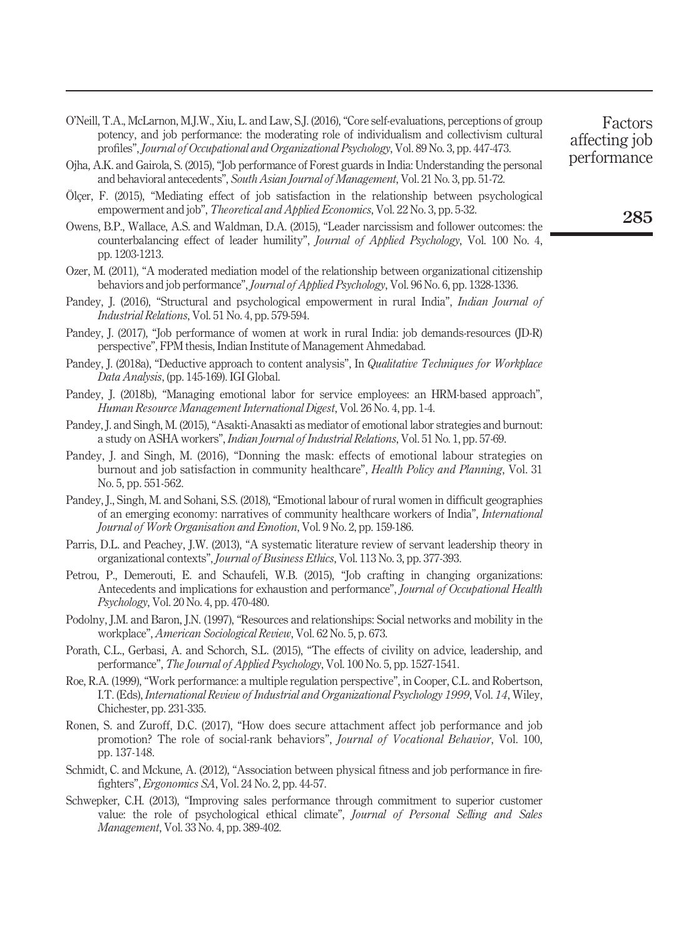| O'Neill, T.A., McLarnon, M.J.W., Xiu, L. and Law, S.J. (2016), "Core self-evaluations, perceptions of group |
|-------------------------------------------------------------------------------------------------------------|
| potency, and job performance: the moderating role of individualism and collectivism cultural                |
| profiles", <i>Journal of Occupational and Organizational Psychology</i> , Vol. 89 No. 3, pp. 447-473.       |

- Ojha, A.K. and Gairola, S. (2015),"Job performance of Forest guards in India: Understanding the personal and behavioral antecedents", South Asian Journal of Management, Vol. 21 No. 3, pp. 51-72.
- Ölçer, F. (2015), "Mediating effect of job satisfaction in the relationship between psychological empowerment and job", *Theoretical and Applied Economics*, Vol. 22 No. 3, pp. 5-32.
- Owens, B.P., Wallace, A.S. and Waldman, D.A. (2015), "Leader narcissism and follower outcomes: the counterbalancing effect of leader humility", Journal of Applied Psychology, Vol. 100 No. 4, pp. 1203-1213.
- Ozer, M. (2011), "A moderated mediation model of the relationship between organizational citizenship behaviors and job performance", Journal of Applied Psychology, Vol. 96 No. 6, pp. 1328-1336.
- Pandey, J. (2016), "Structural and psychological empowerment in rural India", *Indian Journal of* Industrial Relations, Vol. 51 No. 4, pp. 579-594.
- Pandey, J. (2017), "Job performance of women at work in rural India: job demands-resources (JD-R) perspective", FPM thesis, Indian Institute of Management Ahmedabad.
- Pandey, J. (2018a), "Deductive approach to content analysis". In *Qualitative Techniques for Workplace* Data Analysis, (pp. 145-169). IGI Global.
- Pandey, J. (2018b), "Managing emotional labor for service employees: an HRM-based approach", Human Resource Management International Digest, Vol. 26 No. 4, pp. 1-4.
- Pandey, J. and Singh, M. (2015),"Asakti-Anasakti as mediator of emotional labor strategies and burnout: a study on ASHA workers", Indian Journal of Industrial Relations, Vol. 51 No. 1, pp. 57-69.
- Pandey, J. and Singh, M. (2016), "Donning the mask: effects of emotional labour strategies on burnout and job satisfaction in community healthcare", Health Policy and Planning, Vol. 31 No. 5, pp. 551-562.
- Pandey, J., Singh, M. and Sohani, S.S. (2018), "Emotional labour of rural women in difficult geographies of an emerging economy: narratives of community healthcare workers of India", International Journal of Work Organisation and Emotion, Vol. 9 No. 2, pp. 159-186.
- Parris, D.L. and Peachey, J.W. (2013), "A systematic literature review of servant leadership theory in organizational contexts", Journal of Business Ethics, Vol. 113 No. 3, pp. 377-393.
- Petrou, P., Demerouti, E. and Schaufeli, W.B. (2015), "Job crafting in changing organizations: Antecedents and implications for exhaustion and performance", Journal of Occupational Health Psychology, Vol. 20 No. 4, pp. 470-480.
- Podolny, J.M. and Baron, J.N. (1997), "Resources and relationships: Social networks and mobility in the workplace", American Sociological Review, Vol. 62 No. 5, p. 673.
- Porath, C.L., Gerbasi, A. and Schorch, S.L. (2015), "The effects of civility on advice, leadership, and performance", The Journal of Applied Psychology, Vol. 100 No. 5, pp. 1527-1541.
- Roe, R.A. (1999), "Work performance: a multiple regulation perspective", in Cooper, C.L. and Robertson, I.T. (Eds), International Review of Industrial and Organizational Psychology 1999, Vol. 14, Wiley, Chichester, pp. 231-335.
- Ronen, S. and Zuroff, D.C. (2017), "How does secure attachment affect job performance and job promotion? The role of social-rank behaviors", Journal of Vocational Behavior, Vol. 100, pp. 137-148.
- Schmidt, C. and Mckune, A. (2012), "Association between physical fitness and job performance in firefighters", Ergonomics SA, Vol. 24 No. 2, pp. 44-57.
- Schwepker, C.H. (2013), "Improving sales performance through commitment to superior customer value: the role of psychological ethical climate", *Journal of Personal Selling and Sales* Management, Vol. 33 No. 4, pp. 389-402.

affecting job performance

Factors

285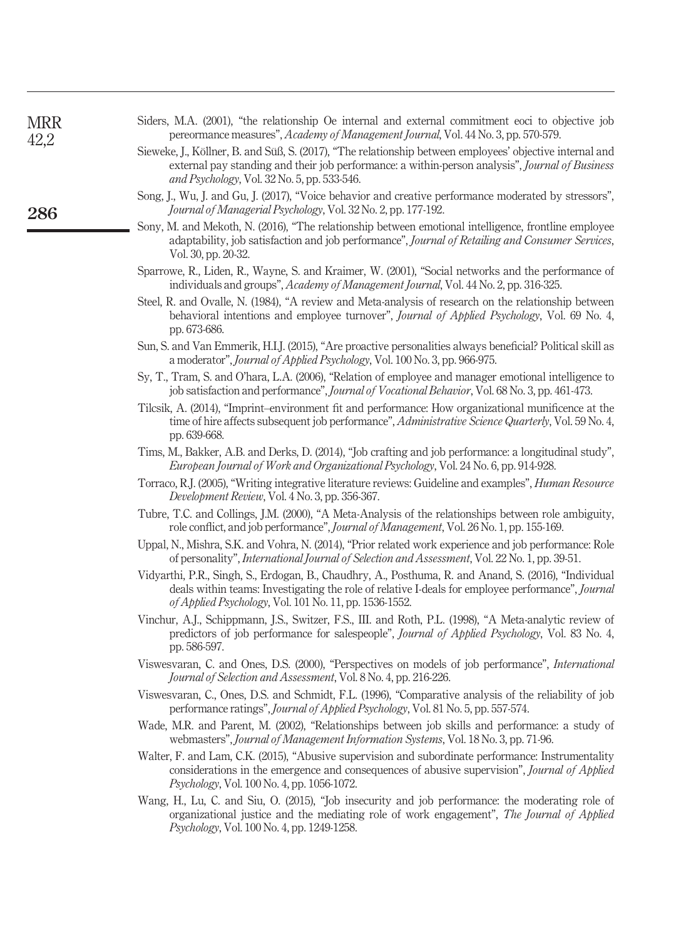| <b>MRR</b><br>42,2 | Siders, M.A. (2001), "the relationship Oe internal and external commitment eoci to objective job<br>pereormance measures", Academy of Management Journal, Vol. 44 No. 3, pp. 570-579.                                                                                |
|--------------------|----------------------------------------------------------------------------------------------------------------------------------------------------------------------------------------------------------------------------------------------------------------------|
|                    | Sieweke, J., Köllner, B. and Süß, S. (2017), "The relationship between employees' objective internal and<br>external pay standing and their job performance: a within-person analysis", Journal of Business<br>and Psychology, Vol. 32 No. 5, pp. 533-546.           |
| 286                | Song, J., Wu, J. and Gu, J. (2017), "Voice behavior and creative performance moderated by stressors",<br>Journal of Managerial Psychology, Vol. 32 No. 2, pp. 177-192.                                                                                               |
|                    | Sony, M. and Mekoth, N. (2016), "The relationship between emotional intelligence, frontline employee<br>adaptability, job satisfaction and job performance", Journal of Retailing and Consumer Services,<br>Vol. 30, pp. 20-32.                                      |
|                    | Sparrowe, R., Liden, R., Wayne, S. and Kraimer, W. (2001), "Social networks and the performance of<br>individuals and groups", Academy of Management Journal, Vol. 44 No. 2, pp. 316-325.                                                                            |
|                    | Steel, R. and Ovalle, N. (1984), "A review and Meta-analysis of research on the relationship between<br>behavioral intentions and employee turnover", <i>Journal of Applied Psychology</i> , Vol. 69 No. 4,<br>pp. 673-686.                                          |
|                    | Sun, S. and Van Emmerik, H.I.J. (2015), "Are proactive personalities always beneficial? Political skill as<br>a moderator", Journal of Applied Psychology, Vol. 100 No. 3, pp. 966-975.                                                                              |
|                    | Sy, T., Tram, S. and O'hara, L.A. (2006), "Relation of employee and manager emotional intelligence to<br>job satisfaction and performance", <i>Journal of Vocational Behavior</i> , Vol. 68 No. 3, pp. 461-473.                                                      |
|                    | Tilcsik, A. (2014), "Imprint-environment fit and performance: How organizational munificence at the<br>time of hire affects subsequent job performance", Administrative Science Quarterly, Vol. 59 No. 4,<br>pp. 639-668.                                            |
|                    | Tims, M., Bakker, A.B. and Derks, D. (2014), "Job crafting and job performance: a longitudinal study",<br>European Journal of Work and Organizational Psychology, Vol. 24 No. 6, pp. 914-928.                                                                        |
|                    | Torraco, R.J. (2005), "Writing integrative literature reviews: Guideline and examples", <i>Human Resource</i><br>Development Review, Vol. 4 No. 3, pp. 356-367.                                                                                                      |
|                    | Tubre, T.C. and Collings, J.M. (2000), "A Meta-Analysis of the relationships between role ambiguity,<br>role conflict, and job performance", <i>Journal of Management</i> , Vol. 26 No. 1, pp. 155-169.                                                              |
|                    | Uppal, N., Mishra, S.K. and Vohra, N. (2014), "Prior related work experience and job performance: Role<br>of personality", International Journal of Selection and Assessment, Vol. 22 No. 1, pp. 39-51.                                                              |
|                    | Vidyarthi, P.R., Singh, S., Erdogan, B., Chaudhry, A., Posthuma, R. and Anand, S. (2016), "Individual<br>deals within teams: Investigating the role of relative I-deals for employee performance", Journal<br>of Applied Psychology, Vol. 101 No. 11, pp. 1536-1552. |
|                    | Vinchur, A.J., Schippmann, J.S., Switzer, F.S., III. and Roth, P.L. (1998), "A Meta-analytic review of<br>predictors of job performance for salespeople", <i>Journal of Applied Psychology</i> , Vol. 83 No. 4,<br>pp. 586-597.                                      |
|                    | Viswesvaran, C. and Ones, D.S. (2000), "Perspectives on models of job performance", <i>International</i><br>Journal of Selection and Assessment, Vol. 8 No. 4, pp. 216-226.                                                                                          |
|                    | Viswesvaran, C., Ones, D.S. and Schmidt, F.L. (1996), "Comparative analysis of the reliability of job<br>performance ratings", <i>Journal of Applied Psychology</i> , Vol. 81 No. 5, pp. 557-574.                                                                    |
|                    | Wade, M.R. and Parent, M. (2002), "Relationships between job skills and performance: a study of<br>webmasters", Journal of Management Information Systems, Vol. 18 No. 3, pp. 71-96.                                                                                 |
|                    | Walter, F. and Lam, C.K. (2015), "Abusive supervision and subordinate performance: Instrumentality<br>considerations in the emergence and consequences of abusive supervision", Journal of Applied<br>Psychology, Vol. 100 No. 4, pp. 1056-1072.                     |
|                    | Wang, H., Lu, C. and Siu, O. (2015), "Job insecurity and job performance: the moderating role of<br>organizational justice and the mediating role of work engagement", The Journal of Applied<br>Psychology, Vol. 100 No. 4, pp. 1249-1258.                          |
|                    |                                                                                                                                                                                                                                                                      |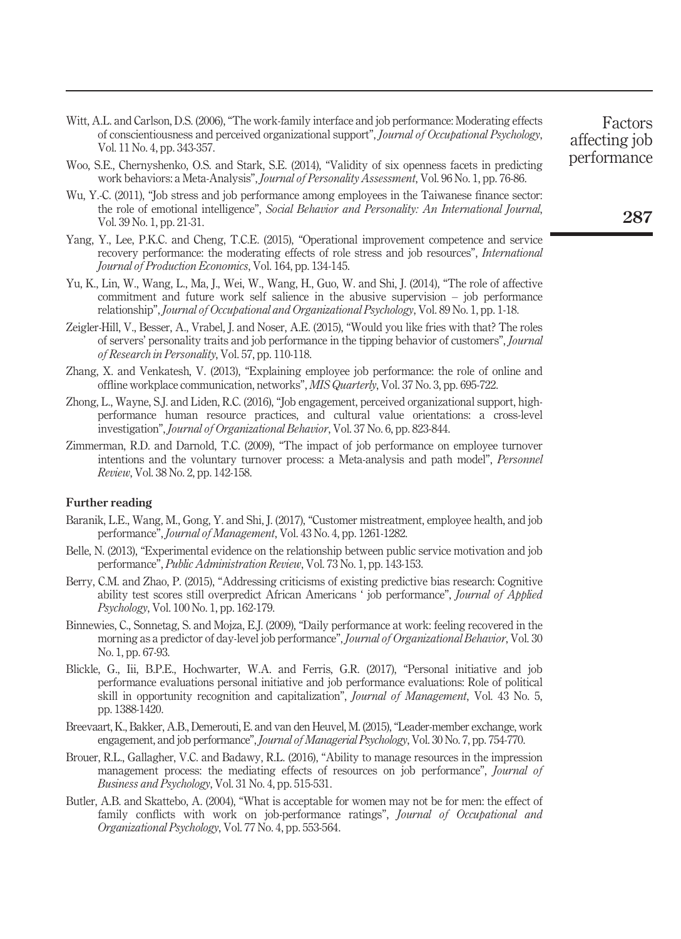- Witt, A.L. and Carlson, D.S. (2006), "The work-family interface and job performance: Moderating effects of conscientiousness and perceived organizational support", Journal of Occupational Psychology, Vol. 11 No. 4, pp. 343-357.
- Woo, S.E., Chernyshenko, O.S. and Stark, S.E. (2014), "Validity of six openness facets in predicting work behaviors: a Meta-Analysis", Journal of Personality Assessment, Vol. 96 No. 1, pp. 76-86.
- Wu, Y.-C. (2011), "Job stress and job performance among employees in the Taiwanese finance sector: the role of emotional intelligence", Social Behavior and Personality: An International Journal, Vol. 39 No. 1, pp. 21-31.
- Yang, Y., Lee, P.K.C. and Cheng, T.C.E. (2015), "Operational improvement competence and service recovery performance: the moderating effects of role stress and job resources", International Journal of Production Economics, Vol. 164, pp. 134-145.
- Yu, K., Lin, W., Wang, L., Ma, J., Wei, W., Wang, H., Guo, W. and Shi, J. (2014), "The role of affective commitment and future work self salience in the abusive supervision – job performance relationship", Journal of Occupational and Organizational Psychology, Vol. 89 No. 1, pp. 1-18.
- Zeigler-Hill, V., Besser, A., Vrabel, J. and Noser, A.E. (2015), "Would you like fries with that? The roles of servers' personality traits and job performance in the tipping behavior of customers", Journal of Research in Personality, Vol. 57, pp. 110-118.
- Zhang, X. and Venkatesh, V. (2013), "Explaining employee job performance: the role of online and offline workplace communication, networks", MIS Quarterly, Vol. 37 No. 3, pp. 695-722.
- Zhong, L., Wayne, S.J. and Liden, R.C. (2016), "Job engagement, perceived organizational support, highperformance human resource practices, and cultural value orientations: a cross-level investigation", Journal of Organizational Behavior, Vol. 37 No. 6, pp. 823-844.
- Zimmerman, R.D. and Darnold, T.C. (2009), "The impact of job performance on employee turnover intentions and the voluntary turnover process: a Meta-analysis and path model", Personnel Review, Vol. 38 No. 2, pp. 142-158.

#### Further reading

- Baranik, L.E., Wang, M., Gong, Y. and Shi, J. (2017), "Customer mistreatment, employee health, and job performance", Journal of Management, Vol. 43 No. 4, pp. 1261-1282.
- Belle, N. (2013), "Experimental evidence on the relationship between public service motivation and job performance", Public Administration Review, Vol. 73 No. 1, pp. 143-153.
- Berry, C.M. and Zhao, P. (2015), "Addressing criticisms of existing predictive bias research: Cognitive ability test scores still overpredict African Americans ' job performance", Journal of Applied Psychology, Vol. 100 No. 1, pp. 162-179.
- Binnewies, C., Sonnetag, S. and Mojza, E.J. (2009), "Daily performance at work: feeling recovered in the morning as a predictor of day-level job performance", *Journal of Organizational Behavior*, Vol. 30 No. 1, pp. 67-93.
- Blickle, G., Iii, B.P.E., Hochwarter, W.A. and Ferris, G.R. (2017), "Personal initiative and job performance evaluations personal initiative and job performance evaluations: Role of political skill in opportunity recognition and capitalization", Journal of Management, Vol. 43 No. 5, pp. 1388-1420.
- Breevaart, K., Bakker, A.B., Demerouti, E. and van den Heuvel, M. (2015),"Leader-member exchange, work engagement, and job performance", Journal of Managerial Psychology, Vol. 30 No. 7, pp. 754-770.
- Brouer, R.L., Gallagher, V.C. and Badawy, R.L. (2016), "Ability to manage resources in the impression management process: the mediating effects of resources on job performance", *Journal of* Business and Psychology, Vol. 31 No. 4, pp. 515-531.
- Butler, A.B. and Skattebo, A. (2004), "What is acceptable for women may not be for men: the effect of family conflicts with work on job-performance ratings", Journal of Occupational and Organizational Psychology, Vol. 77 No. 4, pp. 553-564.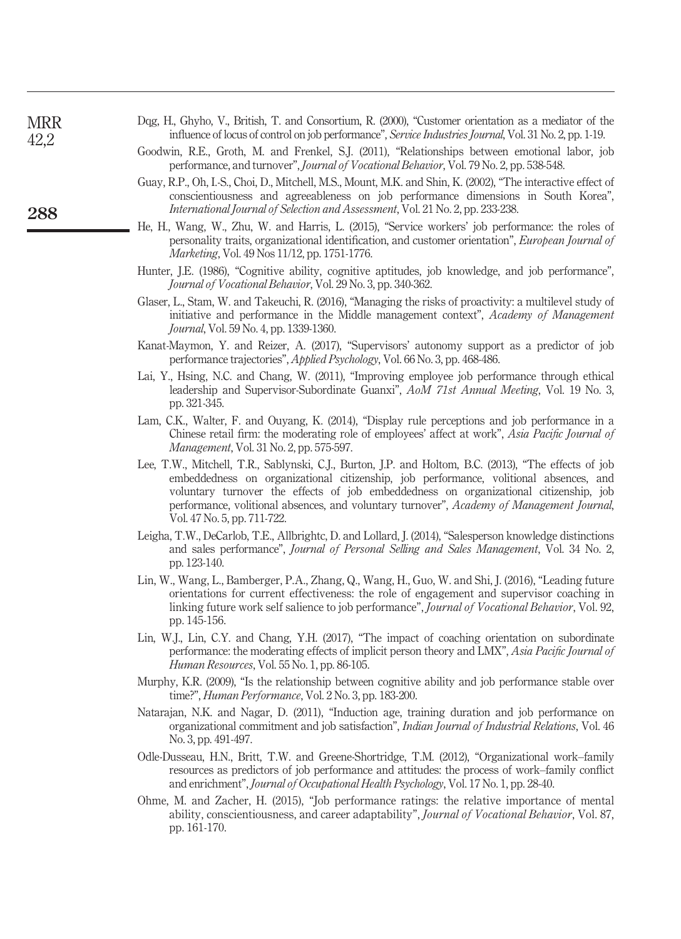| <b>MRR</b><br>42,2<br>288 | Dqg, H., Ghyho, V., British, T. and Consortium, R. (2000), "Customer orientation as a mediator of the<br>influence of locus of control on job performance", Service Industries Journal, Vol. 31 No. 2, pp. 1-19.                                                                                                                                                                                                    |
|---------------------------|---------------------------------------------------------------------------------------------------------------------------------------------------------------------------------------------------------------------------------------------------------------------------------------------------------------------------------------------------------------------------------------------------------------------|
|                           | Goodwin, R.E., Groth, M. and Frenkel, S.J. (2011), "Relationships between emotional labor, job<br>performance, and turnover", <i>Journal of Vocational Behavior</i> , Vol. 79 No. 2, pp. 538-548.                                                                                                                                                                                                                   |
|                           | Guay, R.P., Oh, I.-S., Choi, D., Mitchell, M.S., Mount, M.K. and Shin, K. (2002), "The interactive effect of<br>conscientiousness and agreeableness on job performance dimensions in South Korea",<br>International Journal of Selection and Assessment, Vol. 21 No. 2, pp. 233-238.                                                                                                                                |
|                           | He, H., Wang, W., Zhu, W. and Harris, L. (2015), "Service workers' job performance: the roles of<br>personality traits, organizational identification, and customer orientation", <i>European Journal of</i><br>Marketing, Vol. 49 Nos 11/12, pp. 1751-1776.                                                                                                                                                        |
|                           | Hunter, J.E. (1986), "Cognitive ability, cognitive aptitudes, job knowledge, and job performance",<br>Journal of Vocational Behavior, Vol. 29 No. 3, pp. 340-362.                                                                                                                                                                                                                                                   |
|                           | Glaser, L., Stam, W. and Takeuchi, R. (2016), "Managing the risks of proactivity: a multilevel study of<br>initiative and performance in the Middle management context", Academy of Management<br>Journal, Vol. 59 No. 4, pp. 1339-1360.                                                                                                                                                                            |
|                           | Kanat-Maymon, Y. and Reizer, A. (2017), "Supervisors' autonomy support as a predictor of job<br>performance trajectories", <i>Applied Psychology</i> , Vol. 66 No. 3, pp. 468-486.                                                                                                                                                                                                                                  |
|                           | Lai, Y., Hsing, N.C. and Chang, W. (2011), "Improving employee job performance through ethical<br>leadership and Supervisor-Subordinate Guanxi", AoM 71st Annual Meeting, Vol. 19 No. 3,<br>pp. 321-345.                                                                                                                                                                                                            |
|                           | Lam, C.K., Walter, F. and Ouyang, K. (2014), "Display rule perceptions and job performance in a<br>Chinese retail firm: the moderating role of employees' affect at work", Asia Pacific Journal of<br><i>Management, Vol. 31 No. 2, pp. 575-597.</i>                                                                                                                                                                |
|                           | Lee, T.W., Mitchell, T.R., Sablynski, C.J., Burton, J.P. and Holtom, B.C. (2013), "The effects of job<br>embeddedness on organizational citizenship, job performance, volitional absences, and<br>voluntary turnover the effects of job embeddedness on organizational citizenship, job<br>performance, volitional absences, and voluntary turnover", Academy of Management Journal,<br>Vol. 47 No. 5, pp. 711-722. |
|                           | Leigha, T.W., DeCarlob, T.E., Allbrightc, D. and Lollard, J. (2014), "Salesperson knowledge distinctions<br>and sales performance", Journal of Personal Selling and Sales Management, Vol. 34 No. 2,<br>pp. 123-140.                                                                                                                                                                                                |
|                           | Lin, W., Wang, L., Bamberger, P.A., Zhang, Q., Wang, H., Guo, W. and Shi, J. (2016), "Leading future<br>orientations for current effectiveness: the role of engagement and supervisor coaching in<br>linking future work self salience to job performance", Journal of Vocational Behavior, Vol. 92,<br>pp. 145-156.                                                                                                |
|                           | Lin, W.J., Lin, C.Y. and Chang, Y.H. (2017), "The impact of coaching orientation on subordinate<br>performance: the moderating effects of implicit person theory and LMX", Asia Pacific Journal of<br><i>Human Resources, Vol.</i> 55 No. 1, pp. 86-105.                                                                                                                                                            |
|                           | Murphy, K.R. (2009), "Is the relationship between cognitive ability and job performance stable over<br>time?", <i>Human Performance</i> , Vol. 2 No. 3, pp. 183-200.                                                                                                                                                                                                                                                |
|                           | Natarajan, N.K. and Nagar, D. (2011), "Induction age, training duration and job performance on<br>organizational commitment and job satisfaction", Indian Journal of Industrial Relations, Vol. 46<br>No. 3, pp. 491-497.                                                                                                                                                                                           |
|                           | Odle-Dusseau, H.N., Britt, T.W. and Greene-Shortridge, T.M. (2012), "Organizational work-family<br>resources as predictors of job performance and attitudes: the process of work-family conflict<br>and enrichment", Journal of Occupational Health Psychology, Vol. 17 No. 1, pp. 28-40.                                                                                                                           |
|                           | Ohme, M. and Zacher, H. (2015), "Job performance ratings: the relative importance of mental<br>ability, conscientiousness, and career adaptability", Journal of Vocational Behavior, Vol. 87,<br>pp. 161-170.                                                                                                                                                                                                       |
|                           |                                                                                                                                                                                                                                                                                                                                                                                                                     |